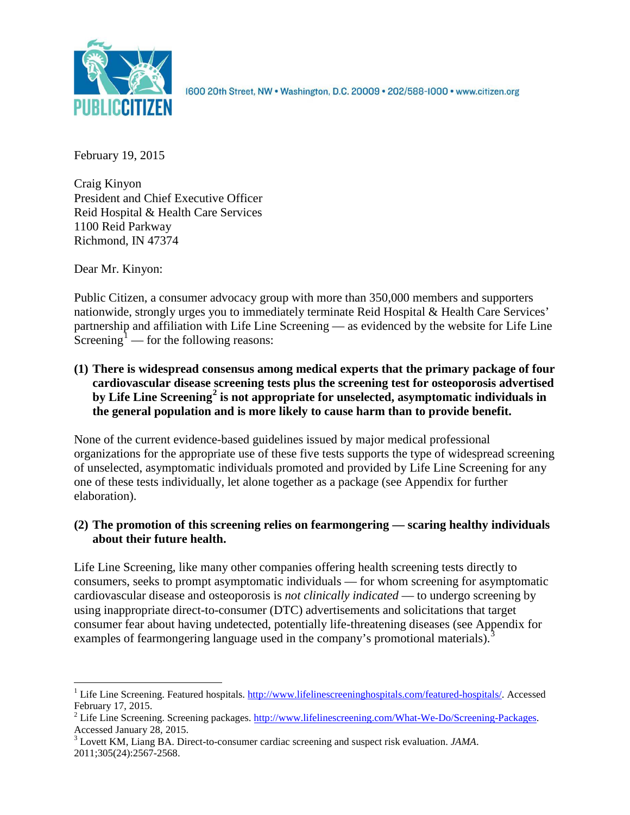

1600 20th Street, NW . Washington, D.C. 20009 . 202/588-1000 . www.citizen.org

February 19, 2015

Craig Kinyon President and Chief Executive Officer Reid Hospital & Health Care Services 1100 Reid Parkway Richmond, IN 47374

Dear Mr. Kinyon:

Public Citizen, a consumer advocacy group with more than 350,000 members and supporters nationwide, strongly urges you to immediately terminate Reid Hospital & Health Care Services' partnership and affiliation with Life Line Screening — as evidenced by the website for Life Line Screening<sup>[1](#page-0-0)</sup> — for the following reasons:

**(1) There is widespread consensus among medical experts that the primary package of four cardiovascular disease screening tests plus the screening test for osteoporosis advertised by Life Line Screening[2](#page-0-1) is not appropriate for unselected, asymptomatic individuals in the general population and is more likely to cause harm than to provide benefit.**

None of the current evidence-based guidelines issued by major medical professional organizations for the appropriate use of these five tests supports the type of widespread screening of unselected, asymptomatic individuals promoted and provided by Life Line Screening for any one of these tests individually, let alone together as a package (see Appendix for further elaboration).

# **(2) The promotion of this screening relies on fearmongering — scaring healthy individuals about their future health.**

Life Line Screening, like many other companies offering health screening tests directly to consumers, seeks to prompt asymptomatic individuals — for whom screening for asymptomatic cardiovascular disease and osteoporosis is *not clinically indicated* — to undergo screening by using inappropriate direct-to-consumer (DTC) advertisements and solicitations that target consumer fear about having undetected, potentially life-threatening diseases (see Appendix for examples of fearmongering language used in the company's promotional materials).<sup>[3](#page-0-2)</sup>

<span id="page-0-0"></span><sup>&</sup>lt;sup>1</sup> Life Line Screening. Featured hospitals. [http://www.lifelinescreeninghospitals.com/featured-hospitals/.](http://www.lifelinescreeninghospitals.com/featured-hospitals/) Accessed

<span id="page-0-1"></span>February 17, 2015.<br><sup>2</sup> Life Line Screening. Screening packages. [http://www.lifelinescreening.com/What-We-Do/Screening-Packages.](http://www.lifelinescreening.com/What-We-Do/Screening-Packages)<br>Accessed January 28, 2015.

<span id="page-0-2"></span><sup>&</sup>lt;sup>3</sup> Lovett KM, Liang BA. Direct-to-consumer cardiac screening and suspect risk evaluation. *JAMA*. 2011;305(24):2567-2568.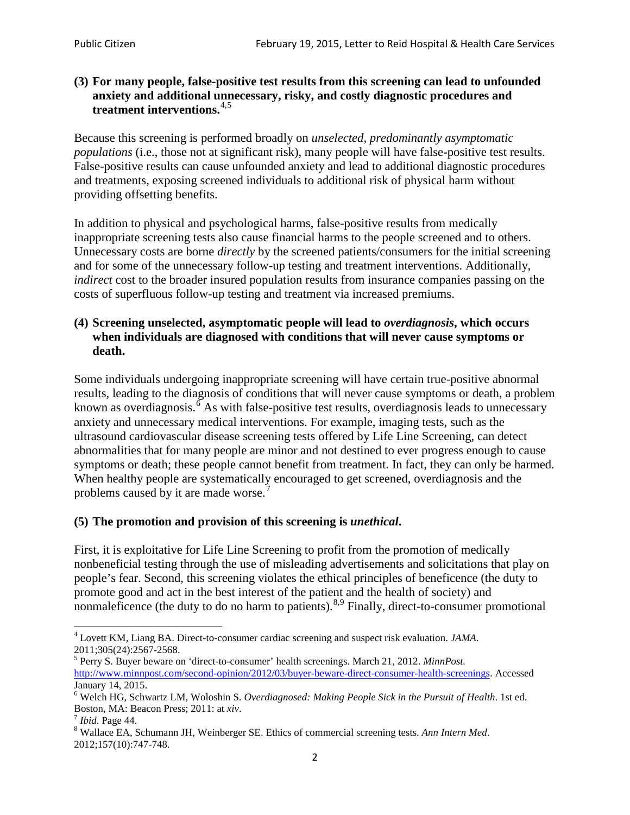### **(3) For many people, false-positive test results from this screening can lead to unfounded anxiety and additional unnecessary, risky, and costly diagnostic procedures and treatment interventions.**[4](#page-1-0),[5](#page-1-1)

Because this screening is performed broadly on *unselected, predominantly asymptomatic populations* (i.e., those not at significant risk), many people will have false**-**positive test results. False-positive results can cause unfounded anxiety and lead to additional diagnostic procedures and treatments, exposing screened individuals to additional risk of physical harm without providing offsetting benefits.

In addition to physical and psychological harms, false-positive results from medically inappropriate screening tests also cause financial harms to the people screened and to others. Unnecessary costs are borne *directly* by the screened patients/consumers for the initial screening and for some of the unnecessary follow-up testing and treatment interventions. Additionally, *indirect* cost to the broader insured population results from insurance companies passing on the costs of superfluous follow-up testing and treatment via increased premiums.

#### **(4) Screening unselected, asymptomatic people will lead to** *overdiagnosis***, which occurs when individuals are diagnosed with conditions that will never cause symptoms or death.**

Some individuals undergoing inappropriate screening will have certain true-positive abnormal results, leading to the diagnosis of conditions that will never cause symptoms or death, a problem known as overdiagnosis.<sup>[6](#page-1-2)</sup> As with false-positive test results, overdiagnosis leads to unnecessary anxiety and unnecessary medical interventions. For example, imaging tests, such as the ultrasound cardiovascular disease screening tests offered by Life Line Screening, can detect abnormalities that for many people are minor and not destined to ever progress enough to cause symptoms or death; these people cannot benefit from treatment. In fact, they can only be harmed. When healthy people are systematically encouraged to get screened, overdiagnosis and the problems caused by it are made worse.<sup>[7](#page-1-3)</sup>

# **(5) The promotion and provision of this screening is** *unethical***.**

First, it is exploitative for Life Line Screening to profit from the promotion of medically nonbeneficial testing through the use of misleading advertisements and solicitations that play on people's fear. Second, this screening violates the ethical principles of beneficence (the duty to promote good and act in the best interest of the patient and the health of society) and nonmaleficence (the duty to do no harm to patients).<sup>[8](#page-1-4),[9](#page-1-5)</sup> Finally, direct-to-consumer promotional

<span id="page-1-4"></span>2012;157(10):747-748.

<span id="page-1-5"></span><span id="page-1-0"></span><sup>4</sup> Lovett KM, Liang BA. Direct-to-consumer cardiac screening and suspect risk evaluation. *JAMA*.

<span id="page-1-1"></span><sup>2011;305(24):2567-2568.</sup> <sup>5</sup> Perry S. Buyer beware on 'direct-to-consumer' health screenings. March 21, 2012. *MinnPost.*  [http://www.minnpost.com/second-opinion/2012/03/buyer-beware-direct-consumer-health-screenings.](http://www.minnpost.com/second-opinion/2012/03/buyer-beware-direct-consumer-health-screenings) Accessed January 14, 2015.

<span id="page-1-2"></span><sup>6</sup> Welch HG, Schwartz LM, Woloshin S. *Overdiagnosed: Making People Sick in the Pursuit of Health*. 1st ed. Boston, MA: Beacon Press; 2011: at *xiv*.<br><sup>7</sup> *Ibid*. Page 44.<br><sup>8</sup> Wallace EA, Schumann JH, Weinberger SE. Ethics of commercial screening tests. *Ann Intern Med*.

<span id="page-1-3"></span>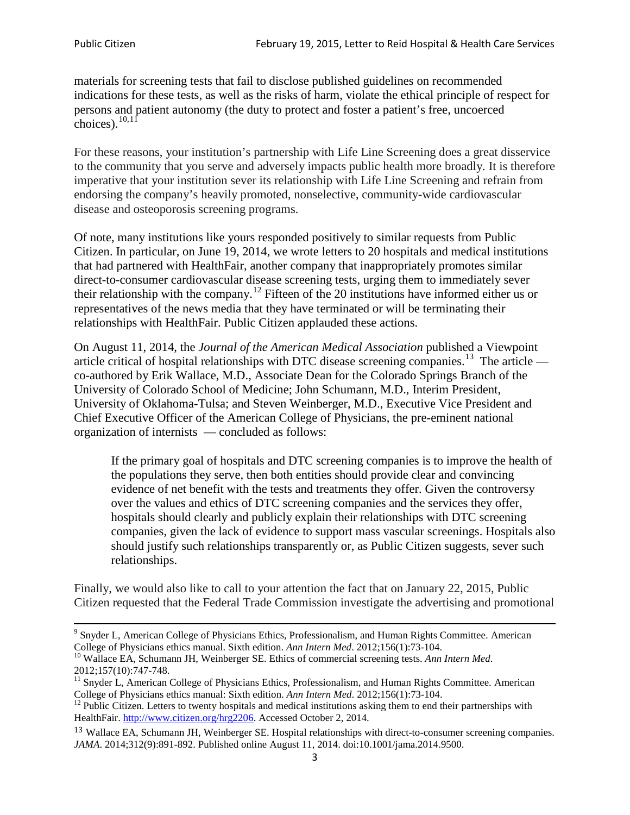materials for screening tests that fail to disclose published guidelines on recommended indications for these tests, as well as the risks of harm, violate the ethical principle of respect for persons and patient autonomy (the duty to protect and foster a patient's free, uncoerced choices). $10,11$  $10,11$ 

For these reasons, your institution's partnership with Life Line Screening does a great disservice to the community that you serve and adversely impacts public health more broadly. It is therefore imperative that your institution sever its relationship with Life Line Screening and refrain from endorsing the company's heavily promoted, nonselective, community**-**wide cardiovascular disease and osteoporosis screening programs.

Of note, many institutions like yours responded positively to similar requests from Public Citizen. In particular, on June 19, 2014, we wrote letters to 20 hospitals and medical institutions that had partnered with HealthFair, another company that inappropriately promotes similar direct-to-consumer cardiovascular disease screening tests, urging them to immediately sever their relationship with the company. [12](#page-2-2) Fifteen of the 20 institutions have informed either us or representatives of the news media that they have terminated or will be terminating their relationships with HealthFair. Public Citizen applauded these actions.

On August 11, 2014, the *Journal of the American Medical Association* published a Viewpoint article critical of hospital relationships with DTC disease screening companies.<sup>13</sup> The article co-authored by Erik Wallace, M.D., Associate Dean for the Colorado Springs Branch of the University of Colorado School of Medicine; John Schumann, M.D., Interim President, University of Oklahoma-Tulsa; and Steven Weinberger, M.D., Executive Vice President and Chief Executive Officer of the American College of Physicians, the pre**-**eminent national organization of internists — concluded as follows:

If the primary goal of hospitals and DTC screening companies is to improve the health of the populations they serve, then both entities should provide clear and convincing evidence of net benefit with the tests and treatments they offer. Given the controversy over the values and ethics of DTC screening companies and the services they offer, hospitals should clearly and publicly explain their relationships with DTC screening companies, given the lack of evidence to support mass vascular screenings. Hospitals also should justify such relationships transparently or, as Public Citizen suggests, sever such relationships.

Finally, we would also like to call to your attention the fact that on January 22, 2015, Public Citizen requested that the Federal Trade Commission investigate the advertising and promotional

<sup>&</sup>lt;sup>9</sup> Snyder L, American College of Physicians Ethics, Professionalism, and Human Rights Committee. American College of Physicians ethics manual. Sixth edition. Ann Intern Med. 2012;156(1):73-104.

<span id="page-2-0"></span><sup>&</sup>lt;sup>10</sup> Wallace EA, Schumann JH, Weinberger SE. Ethics of commercial screening tests. *Ann Intern Med*. 2012;157(10):747-748.

<span id="page-2-1"></span> $11$  Snyder L, American College of Physicians Ethics, Professionalism, and Human Rights Committee. American College of Physicians ethics manual: Sixth edition. *Ann Intern Med*. 2012;156(1):73-104.<br><sup>12</sup> Public Citizen. Letters to twenty hospitals and medical institutions asking them to end their partnerships with

<span id="page-2-2"></span>HealthFair. [http://www.citizen.org/hrg2206.](http://www.citizen.org/hrg2206) Accessed October 2, 2014.

<span id="page-2-3"></span><sup>13</sup> Wallace EA, Schumann JH, Weinberger SE. Hospital relationships with direct-to-consumer screening companies. *JAMA*. 2014;312(9):891-892. Published online August 11, 2014. doi:10.1001/jama.2014.9500.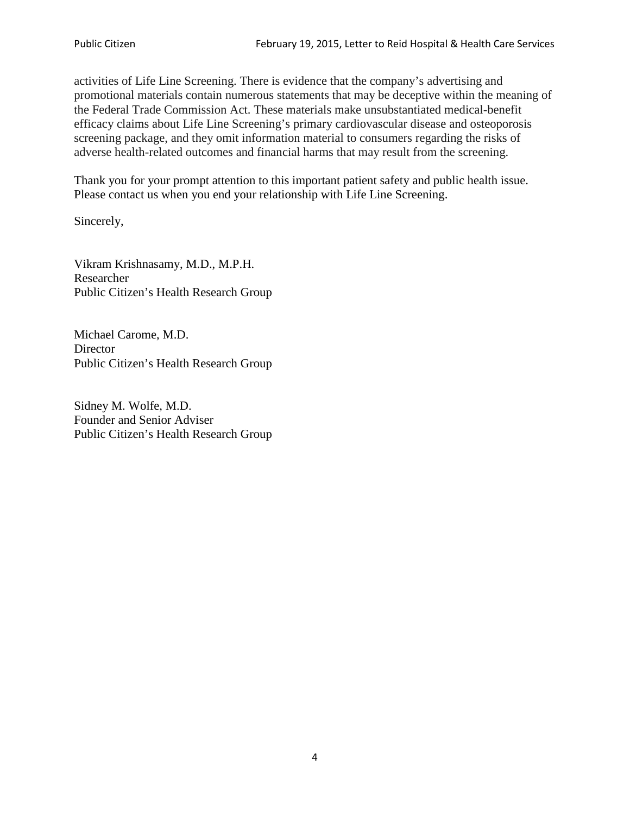activities of Life Line Screening. There is evidence that the company's advertising and promotional materials contain numerous statements that may be deceptive within the meaning of the Federal Trade Commission Act. These materials make unsubstantiated medical-benefit efficacy claims about Life Line Screening's primary cardiovascular disease and osteoporosis screening package, and they omit information material to consumers regarding the risks of adverse health-related outcomes and financial harms that may result from the screening.

Thank you for your prompt attention to this important patient safety and public health issue. Please contact us when you end your relationship with Life Line Screening.

Sincerely,

Vikram Krishnasamy, M.D., M.P.H. Researcher Public Citizen's Health Research Group

Michael Carome, M.D. **Director** Public Citizen's Health Research Group

Sidney M. Wolfe, M.D. Founder and Senior Adviser Public Citizen's Health Research Group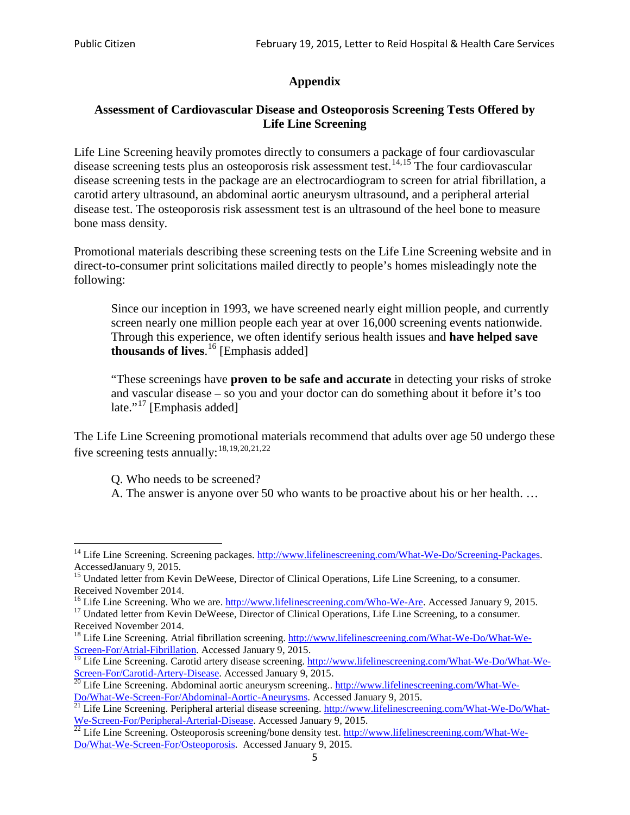# **Appendix**

# **Assessment of Cardiovascular Disease and Osteoporosis Screening Tests Offered by Life Line Screening**

Life Line Screening heavily promotes directly to consumers a package of four cardiovascular disease screening tests plus an osteoporosis risk assessment test.<sup>[14](#page-4-0),[15](#page-4-1)</sup> The four cardiovascular disease screening tests in the package are an electrocardiogram to screen for atrial fibrillation, a carotid artery ultrasound, an abdominal aortic aneurysm ultrasound, and a peripheral arterial disease test. The osteoporosis risk assessment test is an ultrasound of the heel bone to measure bone mass density.

Promotional materials describing these screening tests on the Life Line Screening website and in direct-to-consumer print solicitations mailed directly to people's homes misleadingly note the following:

Since our inception in 1993, we have screened nearly eight million people, and currently screen nearly one million people each year at over 16,000 screening events nationwide. Through this experience, we often identify serious health issues and **have helped save thousands of lives**. [16](#page-4-2) [Emphasis added]

"These screenings have **proven to be safe and accurate** in detecting your risks of stroke and vascular disease – so you and your doctor can do something about it before it's too late."<sup>[17](#page-4-3)</sup> [Emphasis added]

The Life Line Screening promotional materials recommend that adults over age 50 undergo these five screening tests annually:<sup>[18](#page-4-4),[19,](#page-4-5)[20,](#page-4-6)[21](#page-4-7),[22](#page-4-8)</sup>

Q. Who needs to be screened?

A. The answer is anyone over 50 who wants to be proactive about his or her health. …

<span id="page-4-0"></span><sup>&</sup>lt;sup>14</sup> Life Line Screening. Screening packages. [http://www.lifelinescreening.com/What-We-Do/Screening-Packages.](http://www.lifelinescreening.com/What-We-Do/Screening-Packages) AccessedJanuary 9, 2015.

<span id="page-4-1"></span><sup>&</sup>lt;sup>15</sup> Undated letter from Kevin DeWeese, Director of Clinical Operations, Life Line Screening, to a consumer.

Received November 2014.<br><sup>16</sup> Life Line Screening. Who we are. http://www.lifelinescreening.com/Who-We-Are. Accessed January 9, 2015.

<span id="page-4-3"></span><span id="page-4-2"></span><sup>&</sup>lt;sup>17</sup> Undated letter from Kevin DeWeese, Director of Clinical Operations, Life Line Screening, to a consumer. Received November 2014.

<span id="page-4-4"></span><sup>&</sup>lt;sup>18</sup> Life Line Screening. Atrial fibrillation screening. [http://www.lifelinescreening.com/What-We-Do/What-We-](http://www.lifelinescreening.com/What-We-Do/What-We-Screen-For/Atrial-Fibrillation)[Screen-For/Atrial-Fibrillation.](http://www.lifelinescreening.com/What-We-Do/What-We-Screen-For/Atrial-Fibrillation) Accessed January 9, 2015.

<span id="page-4-5"></span><sup>&</sup>lt;sup>19</sup> Life Line Screening. Carotid artery disease screening. [http://www.lifelinescreening.com/What-We-Do/What-We-](http://www.lifelinescreening.com/What-We-Do/What-We-Screen-For/Carotid-Artery-Disease)

<span id="page-4-6"></span>[Screen-For/Carotid-Artery-Disease.](http://www.lifelinescreening.com/What-We-Do/What-We-Screen-For/Carotid-Artery-Disease) Accessed January 9, 2015.<br><sup>20</sup> Life Line Screening. Abdominal aortic aneurysm screening.. http://www.lifelinescreening.com/What-We-<br>Do/What-We-Screen-For/Abdominal-Aortic-Aneurysms. Acces

<span id="page-4-7"></span> $\frac{1}{21}$  Life Line Screening. Peripheral arterial disease screening. [http://www.lifelinescreening.com/What-We-Do/What-](http://www.lifelinescreening.com/What-We-Do/What-We-Screen-For/Peripheral-Arterial-Disease)

<span id="page-4-8"></span>[We-Screen-For/Peripheral-Arterial-Disease.](http://www.lifelinescreening.com/What-We-Do/What-We-Screen-For/Peripheral-Arterial-Disease) Accessed January 9, 2015.<br><sup>22</sup> Life Line Screening. Osteoporosis screening/bone density test. [http://www.lifelinescreening.com/What-We-](http://www.lifelinescreening.com/What-We-Do/What-We-Screen-For/Osteoporosis)[Do/What-We-Screen-For/Osteoporosis.](http://www.lifelinescreening.com/What-We-Do/What-We-Screen-For/Osteoporosis) Accessed January 9, 2015.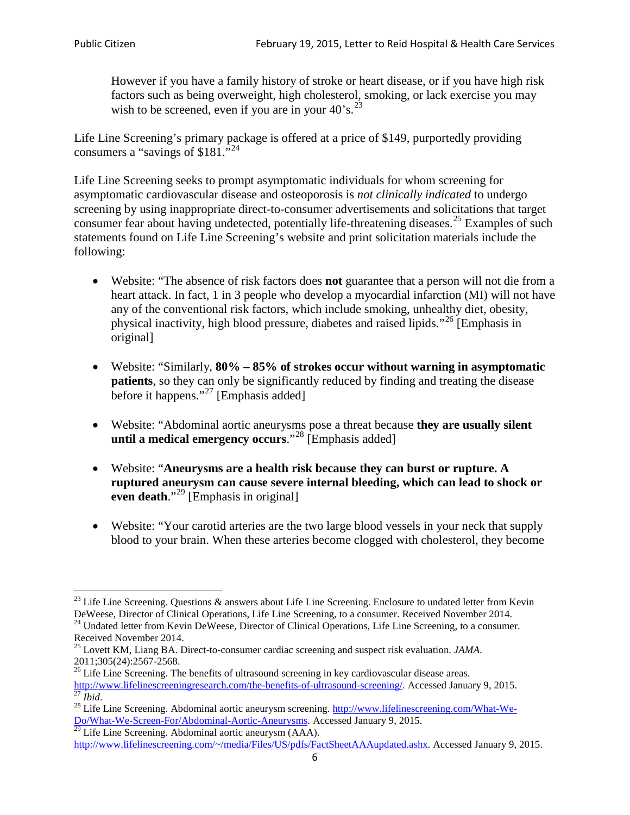However if you have a family history of stroke or heart disease, or if you have high risk factors such as being overweight, high cholesterol, smoking, or lack exercise you may wish to be screened, even if you are in your  $40^{\circ}$ s.<sup>[23](#page-5-0)</sup>

Life Line Screening's primary package is offered at a price of \$149, purportedly providing consumers a "savings of \$181."<sup>[24](#page-5-1)</sup>

Life Line Screening seeks to prompt asymptomatic individuals for whom screening for asymptomatic cardiovascular disease and osteoporosis is *not clinically indicated* to undergo screening by using inappropriate direct-to-consumer advertisements and solicitations that target consumer fear about having undetected, potentially life-threatening diseases.<sup>[25](#page-5-2)</sup> Examples of such statements found on Life Line Screening's website and print solicitation materials include the following:

- Website: "The absence of risk factors does **not** guarantee that a person will not die from a heart attack. In fact, 1 in 3 people who develop a myocardial infarction (MI) will not have any of the conventional risk factors, which include smoking, unhealthy diet, obesity, physical inactivity, high blood pressure, diabetes and raised lipids."[26](#page-5-3) [Emphasis in original]
- Website: "Similarly, **80% – 85% of strokes occur without warning in asymptomatic patients**, so they can only be significantly reduced by finding and treating the disease before it happens."<sup>[27](#page-5-4)</sup> [Emphasis added]
- Website: "Abdominal aortic aneurysms pose a threat because **they are usually silent until a medical emergency occurs**."[28](#page-5-5) [Emphasis added]
- Website: "**Aneurysms are a health risk because they can burst or rupture. A ruptured aneurysm can cause severe internal bleeding, which can lead to shock or even death.**"<sup>[29](#page-5-6)</sup> [Emphasis in original]
- Website: "Your carotid arteries are the two large blood vessels in your neck that supply blood to your brain. When these arteries become clogged with cholesterol, they become

<span id="page-5-0"></span><sup>&</sup>lt;sup>23</sup> Life Line Screening. Questions  $\&$  answers about Life Line Screening. Enclosure to undated letter from Kevin DeWeese, Director of Clinical Operations, Life Line Screening, to a consumer. Received November 2014.

<span id="page-5-1"></span><sup>&</sup>lt;sup>24</sup> Undated letter from Kevin DeWeese, Director of Clinical Operations, Life Line Screening, to a consumer. Received November 2014.

<span id="page-5-2"></span><sup>25</sup> Lovett KM, Liang BA. Direct-to-consumer cardiac screening and suspect risk evaluation. *JAMA*.  $2011;305(24):2567-2568$ .<br><sup>26</sup> Life Line Screening. The benefits of ultrasound screening in key cardiovascular disease areas.

<span id="page-5-3"></span>[http://www.lifelinescreeningresearch.com/the-benefits-of-ultrasound-screening/.](http://www.lifelinescreeningresearch.com/the-benefits-of-ultrasound-screening/) Accessed January 9, 2015.<br><sup>28</sup> Life Line Screening. Abdominal aortic aneurysm screening. http://www.lifelinescreening.com/What-We-<sup>28</sup>

<span id="page-5-5"></span><span id="page-5-4"></span>[Do/What-We-Screen-For/Abdominal-Aortic-Aneurysms.](http://www.lifelinescreening.com/What-We-Do/What-We-Screen-For/Abdominal-Aortic-Aneurysms) Accessed January 9, 2015. <sup>29</sup> Life Line Screening. Abdominal aortic aneurysm (AAA).

<span id="page-5-6"></span>[http://www.lifelinescreening.com/~/media/Files/US/pdfs/FactSheetAAAupdated.ashx.](http://www.lifelinescreening.com/~/media/Files/US/pdfs/FactSheetAAAupdated.ashx) Accessed January 9, 2015.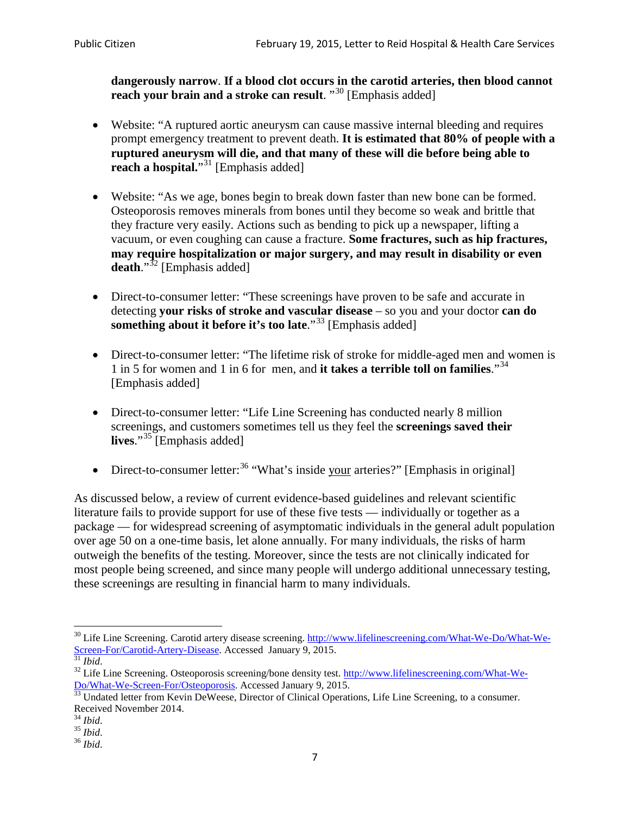**dangerously narrow**. **If a blood clot occurs in the carotid arteries, then blood cannot reach your brain and a stroke can result**. "<sup>[30](#page-6-0)</sup> [Emphasis added]

- Website: "A ruptured aortic aneurysm can cause massive internal bleeding and requires prompt emergency treatment to prevent death. **It is estimated that 80% of people with a ruptured aneurysm will die, and that many of these will die before being able to reach a hospital.**"<sup>[31](#page-6-1)</sup> [Emphasis added]
- Website: "As we age, bones begin to break down faster than new bone can be formed. Osteoporosis removes minerals from bones until they become so weak and brittle that they fracture very easily. Actions such as bending to pick up a newspaper, lifting a vacuum, or even coughing can cause a fracture. **Some fractures, such as hip fractures, may require hospitalization or major surgery, and may result in disability or even**  death."<sup>[32](#page-6-2)</sup> [Emphasis added]
- Direct-to-consumer letter: "These screenings have proven to be safe and accurate in detecting **your risks of stroke and vascular disease** – so you and your doctor **can do something about it before it's too late.**"<sup>[33](#page-6-3)</sup> [Emphasis added]
- Direct-to-consumer letter: "The lifetime risk of stroke for middle-aged men and women is 1 in 5 for women and 1 in 6 for men, and **it takes a terrible toll on families**."[34](#page-6-4) [Emphasis added]
- Direct-to-consumer letter: "Life Line Screening has conducted nearly 8 million screenings, and customers sometimes tell us they feel the **screenings saved their lives**."[35](#page-6-5) [Emphasis added]
- Direct-to-consumer letter:  $36$  "What's inside your arteries?" [Emphasis in original]

As discussed below, a review of current evidence-based guidelines and relevant scientific literature fails to provide support for use of these five tests — individually or together as a package — for widespread screening of asymptomatic individuals in the general adult population over age 50 on a one-time basis, let alone annually. For many individuals, the risks of harm outweigh the benefits of the testing. Moreover, since the tests are not clinically indicated for most people being screened, and since many people will undergo additional unnecessary testing, these screenings are resulting in financial harm to many individuals.

<span id="page-6-0"></span><sup>&</sup>lt;sup>30</sup> Life Line Screening. Carotid artery disease screening. [http://www.lifelinescreening.com/What-We-Do/What-We-](http://www.lifelinescreening.com/What-We-Do/What-We-Screen-For/Carotid-Artery-Disease)[Screen-For/Carotid-Artery-Disease.](http://www.lifelinescreening.com/What-We-Do/What-We-Screen-For/Carotid-Artery-Disease) Accessed January 9, 2015.<br><sup>31</sup> *Ibid.* 32 Life Line Screening. Osteoporosis screening/bone density test. [http://www.lifelinescreening.com/What-We-](http://www.lifelinescreening.com/What-We-Do/What-We-Screen-For/Osteoporosis)

<span id="page-6-2"></span><span id="page-6-1"></span>[Do/What-We-Screen-For/Osteoporosis.](http://www.lifelinescreening.com/What-We-Do/What-We-Screen-For/Osteoporosis) Accessed January 9, 2015. <sup>33</sup> Undated letter from Kevin DeWeese, Director of Clinical Operations, Life Line Screening, to a consumer.

<span id="page-6-3"></span>Received November 2014.<br><sup>34</sup> Ibid.

<span id="page-6-4"></span>

<span id="page-6-5"></span><sup>34</sup> *Ibid*. 35 *Ibid*. 36 *Ibid*.

<span id="page-6-6"></span>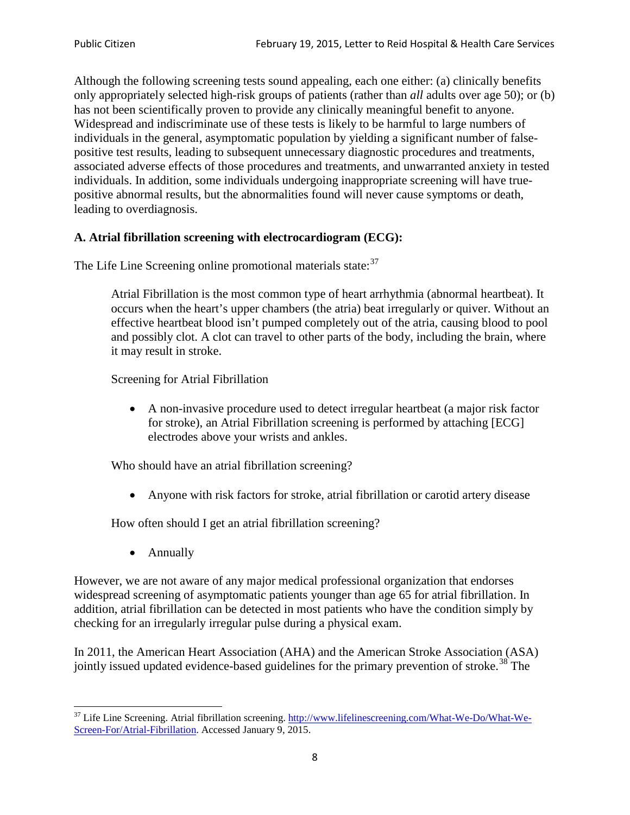Although the following screening tests sound appealing, each one either: (a) clinically benefits only appropriately selected high-risk groups of patients (rather than *all* adults over age 50); or (b) has not been scientifically proven to provide any clinically meaningful benefit to anyone. Widespread and indiscriminate use of these tests is likely to be harmful to large numbers of individuals in the general, asymptomatic population by yielding a significant number of falsepositive test results, leading to subsequent unnecessary diagnostic procedures and treatments, associated adverse effects of those procedures and treatments, and unwarranted anxiety in tested individuals. In addition, some individuals undergoing inappropriate screening will have truepositive abnormal results, but the abnormalities found will never cause symptoms or death, leading to overdiagnosis.

# **A. Atrial fibrillation screening with electrocardiogram (ECG):**

The Life Line Screening online promotional materials state:<sup>[37](#page-7-0)</sup>

Atrial Fibrillation is the most common type of heart arrhythmia (abnormal heartbeat). It occurs when the heart's upper chambers (the atria) beat irregularly or quiver. Without an effective heartbeat blood isn't pumped completely out of the atria, causing blood to pool and possibly clot. A clot can travel to other parts of the body, including the brain, where it may result in stroke.

Screening for Atrial Fibrillation

• A non-invasive procedure used to detect irregular heartbeat (a major risk factor for stroke), an Atrial Fibrillation screening is performed by attaching [ECG] electrodes above your wrists and ankles.

Who should have an atrial fibrillation screening?

• Anyone with risk factors for stroke, atrial fibrillation or carotid artery disease

How often should I get an atrial fibrillation screening?

• Annually

<span id="page-7-1"></span>However, we are not aware of any major medical professional organization that endorses widespread screening of asymptomatic patients younger than age 65 for atrial fibrillation. In addition, atrial fibrillation can be detected in most patients who have the condition simply by checking for an irregularly irregular pulse during a physical exam.

In 2011, the American Heart Association (AHA) and the American Stroke Association (ASA) jointly issued updated evidence-based guidelines for the primary prevention of stroke.<sup>[38](#page-7-1)</sup> The

<span id="page-7-0"></span><sup>&</sup>lt;sup>37</sup> Life Line Screening. Atrial fibrillation screening. [http://www.lifelinescreening.com/What-We-Do/What-We-](http://www.lifelinescreening.com/What-We-Do/What-We-Screen-For/Atrial-Fibrillation)[Screen-For/Atrial-Fibrillation.](http://www.lifelinescreening.com/What-We-Do/What-We-Screen-For/Atrial-Fibrillation) Accessed January 9, 2015.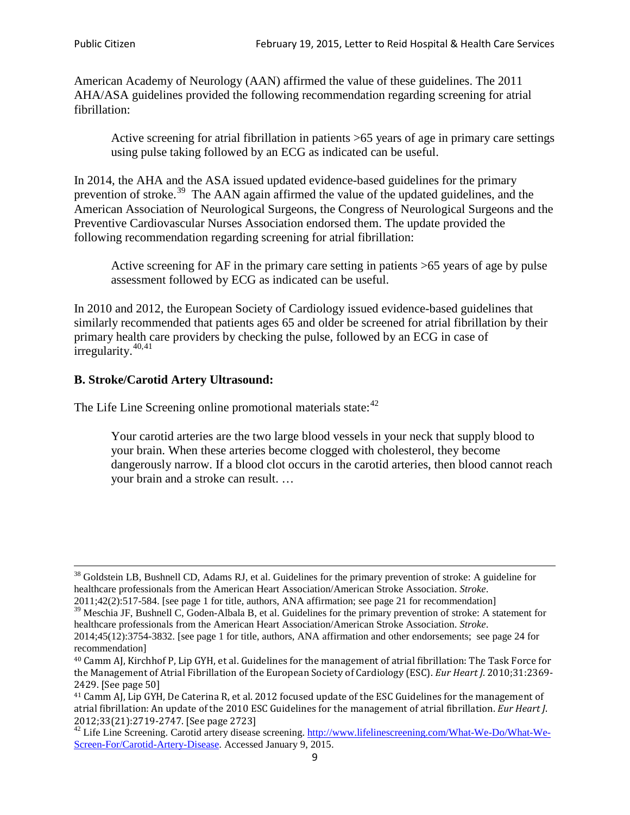American Academy of Neurology (AAN) affirmed the value of these guidelines. The 2011 AHA/ASA guidelines provided the following recommendation regarding screening for atrial fibrillation:

Active screening for atrial fibrillation in patients >65 years of age in primary care settings using pulse taking followed by an ECG as indicated can be useful.

In 2014, the AHA and the ASA issued updated evidence-based guidelines for the primary prevention of stroke.<sup>[39](#page-8-0)</sup> The AAN again affirmed the value of the updated guidelines, and the American Association of Neurological Surgeons, the Congress of Neurological Surgeons and the Preventive Cardiovascular Nurses Association endorsed them. The update provided the following recommendation regarding screening for atrial fibrillation:

Active screening for AF in the primary care setting in patients >65 years of age by pulse assessment followed by ECG as indicated can be useful.

In 2010 and 2012, the European Society of Cardiology issued evidence-based guidelines that similarly recommended that patients ages 65 and older be screened for atrial fibrillation by their primary health care providers by checking the pulse, followed by an ECG in case of irregularity. $40,41$  $40,41$ 

# **B. Stroke/Carotid Artery Ultrasound:**

The Life Line Screening online promotional materials state:<sup>[42](#page-8-3)</sup>

Your carotid arteries are the two large blood vessels in your neck that supply blood to your brain. When these arteries become clogged with cholesterol, they become dangerously narrow. If a blood clot occurs in the carotid arteries, then blood cannot reach your brain and a stroke can result. …

<sup>&</sup>lt;sup>38</sup> Goldstein LB, Bushnell CD, Adams RJ, et al. Guidelines for the primary prevention of stroke: A guideline for healthcare professionals from the American Heart Association/American Stroke Association. *Stroke*.

<sup>2011;42(2):517-584.</sup> [see page 1 for title, authors, ANA affirmation; see page 21 for recommendation]

<span id="page-8-0"></span> $\frac{2011,42(2)(317,601)}{39}$  Meschia JF, Bushnell C, Goden-Albala B, et al. Guidelines for the primary prevention of stroke: A statement for healthcare professionals from the American Heart Association/American Stroke Association. *Stroke*.

<sup>2014;45(12):3754-3832.</sup> [see page 1 for title, authors, ANA affirmation and other endorsements; see page 24 for recommendation]

<span id="page-8-1"></span><sup>40</sup> Camm AJ, Kirchhof P, Lip GYH, et al. Guidelines for the management of atrial fibrillation: The Task Force for the Management of Atrial Fibrillation of the European Society of Cardiology (ESC). *Eur Heart J*. 2010;31:2369- 2429. [See page 50]

<span id="page-8-2"></span><sup>41</sup> Camm AJ, Lip GYH, De Caterina R, et al. 2012 focused update of the ESC Guidelines for the management of atrial fibrillation: An update of the 2010 ESC Guidelines for the management of atrial fibrillation. *Eur Heart J*.

<span id="page-8-3"></span><sup>&</sup>lt;sup>2012</sup>;23(21):2719-2747. [See page 273] 42 Life Line Screening. [http://www.lifelinescreening.com/What-We-Do/What-We-](http://www.lifelinescreening.com/What-We-Do/What-We-Screen-For/Carotid-Artery-Disease)[Screen-For/Carotid-Artery-Disease.](http://www.lifelinescreening.com/What-We-Do/What-We-Screen-For/Carotid-Artery-Disease) Accessed January 9, 2015.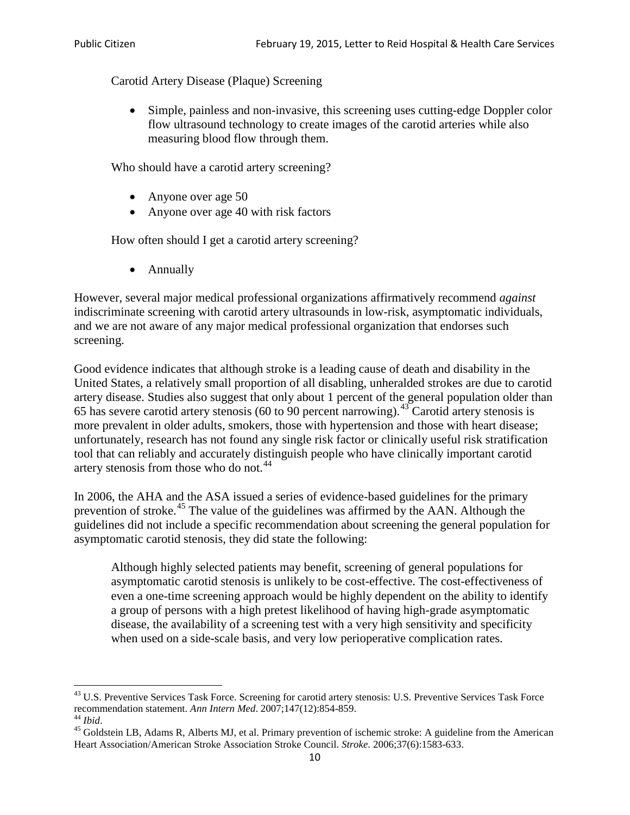Carotid Artery Disease (Plaque) Screening

• Simple, painless and non-invasive, this screening uses cutting-edge Doppler color flow ultrasound technology to create images of the carotid arteries while also measuring blood flow through them.

Who should have a carotid artery screening?

- Anyone over age 50
- Anyone over age 40 with risk factors

How often should I get a carotid artery screening?

• Annually

However, several major medical professional organizations affirmatively recommend *against* indiscriminate screening with carotid artery ultrasounds in low-risk, asymptomatic individuals, and we are not aware of any major medical professional organization that endorses such screening.

Good evidence indicates that although stroke is a leading cause of death and disability in the United States, a relatively small proportion of all disabling, unheralded strokes are due to carotid artery disease. Studies also suggest that only about 1 percent of the general population older than 65 has severe carotid artery stenosis (60 to 90 percent narrowing).<sup>[43](#page-9-0)</sup> Carotid artery stenosis is more prevalent in older adults, smokers, those with hypertension and those with heart disease; unfortunately, research has not found any single risk factor or clinically useful risk stratification tool that can reliably and accurately distinguish people who have clinically important carotid artery stenosis from those who do not.<sup>[44](#page-9-1)</sup>

In 2006, the AHA and the ASA issued a series of evidence-based guidelines for the primary prevention of stroke.[45](#page-9-2) The value of the guidelines was affirmed by the AAN. Although the guidelines did not include a specific recommendation about screening the general population for asymptomatic carotid stenosis, they did state the following:

Although highly selected patients may benefit, screening of general populations for asymptomatic carotid stenosis is unlikely to be cost-effective. The cost-effectiveness of even a one-time screening approach would be highly dependent on the ability to identify a group of persons with a high pretest likelihood of having high-grade asymptomatic disease, the availability of a screening test with a very high sensitivity and specificity when used on a side-scale basis, and very low perioperative complication rates.

<span id="page-9-0"></span> $^{43}$  U.S. Preventive Services Task Force. Screening for carotid artery stenosis: U.S. Preventive Services Task Force recommendation statement. Ann Intern Med. 2007;147(12):854-859.

<span id="page-9-2"></span><span id="page-9-1"></span><sup>&</sup>lt;sup>44</sup> *Ibid*. <sup>45</sup> Goldstein LB, Adams R, Alberts MJ, et al. Primary prevention of ischemic stroke: A guideline from the American <sup>45</sup> Goldstein LB, Adams R, Alberts MJ, et al. Primary prevention of ischemic stroke: A guide Heart Association/American Stroke Association Stroke Council. *Stroke*. 2006;37(6):1583-633.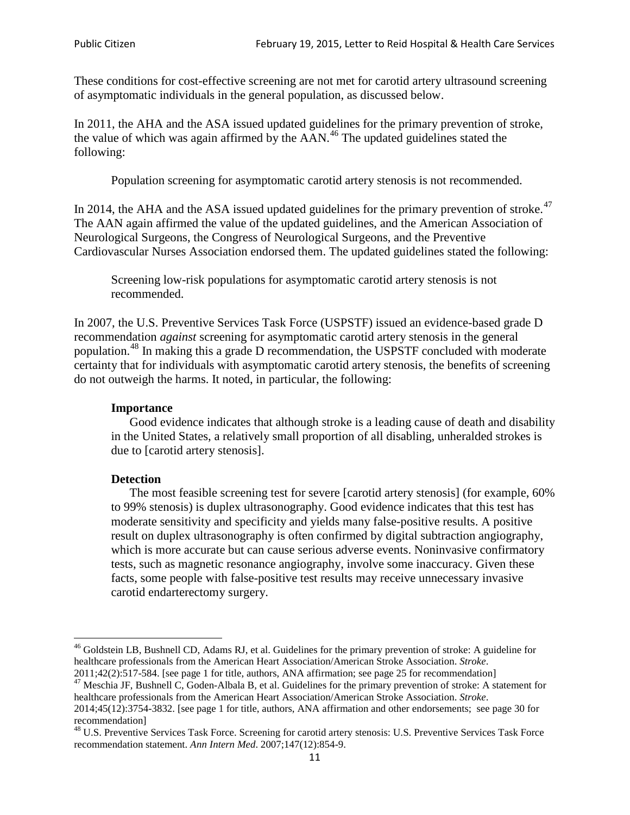These conditions for cost-effective screening are not met for carotid artery ultrasound screening of asymptomatic individuals in the general population, as discussed below.

In 2011, the AHA and the ASA issued updated guidelines for the primary prevention of stroke, the value of which was again affirmed by the  $AAN<sup>46</sup>$  $AAN<sup>46</sup>$  $AAN<sup>46</sup>$ . The updated guidelines stated the following:

Population screening for asymptomatic carotid artery stenosis is not recommended.

In 2014, the AHA and the ASA issued updated guidelines for the primary prevention of stroke.<sup>47</sup> The AAN again affirmed the value of the updated guidelines, and the American Association of Neurological Surgeons, the Congress of Neurological Surgeons, and the Preventive Cardiovascular Nurses Association endorsed them. The updated guidelines stated the following:

Screening low-risk populations for asymptomatic carotid artery stenosis is not recommended.

In 2007, the U.S. Preventive Services Task Force (USPSTF) issued an evidence-based grade D recommendation *against* screening for asymptomatic carotid artery stenosis in the general population.[48](#page-10-2) In making this a grade D recommendation, the USPSTF concluded with moderate certainty that for individuals with asymptomatic carotid artery stenosis, the benefits of screening do not outweigh the harms. It noted, in particular, the following:

#### **Importance**

Good evidence indicates that although stroke is a leading cause of death and disability in the United States, a relatively small proportion of all disabling, unheralded strokes is due to [carotid artery stenosis].

#### **Detection**

The most feasible screening test for severe [carotid artery stenosis] (for example, 60% to 99% stenosis) is duplex ultrasonography. Good evidence indicates that this test has moderate sensitivity and specificity and yields many false-positive results. A positive result on duplex ultrasonography is often confirmed by digital subtraction angiography, which is more accurate but can cause serious adverse events. Noninvasive confirmatory tests, such as magnetic resonance angiography, involve some inaccuracy. Given these facts, some people with false-positive test results may receive unnecessary invasive carotid endarterectomy surgery.

<span id="page-10-0"></span><sup>&</sup>lt;sup>46</sup> Goldstein LB, Bushnell CD, Adams RJ, et al. Guidelines for the primary prevention of stroke: A guideline for healthcare professionals from the American Heart Association/American Stroke Association. *Stroke*.<br>2011;42(2):517-584. [see page 1 for title, authors, ANA affirmation; see page 25 for recommendation]

<span id="page-10-1"></span><sup>&</sup>lt;sup>47</sup> Meschia JF, Bushnell C, Goden-Albala B, et al. Guidelines for the primary prevention of stroke: A statement for healthcare professionals from the American Heart Association/American Stroke Association. *Stroke*. 2014;45(12):3754-3832. [see page 1 for title, authors, ANA affirmation and other endorsements; see page 30 for

recommendation]

<span id="page-10-2"></span><sup>&</sup>lt;sup>48</sup> U.S. Preventive Services Task Force. Screening for carotid artery stenosis: U.S. Preventive Services Task Force recommendation statement. *Ann Intern Med*. 2007;147(12):854-9.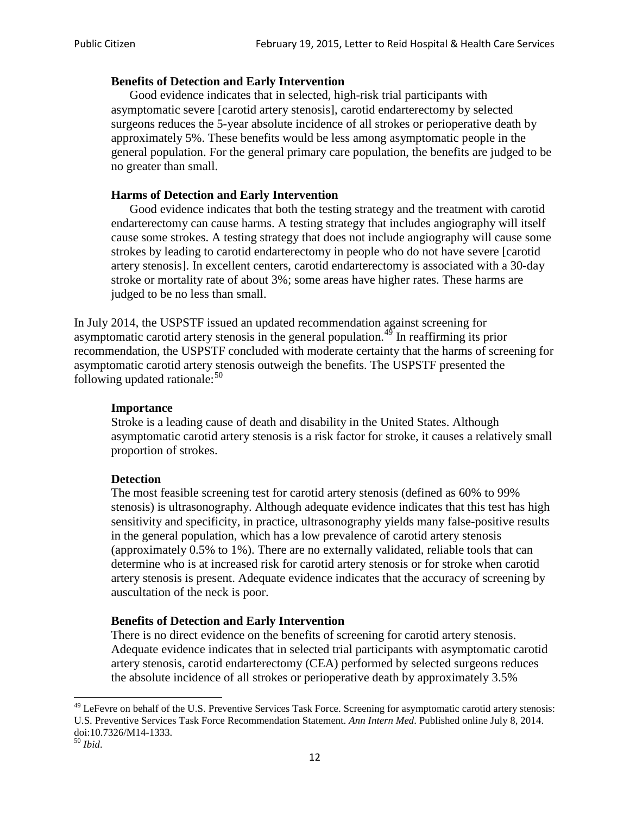### **Benefits of Detection and Early Intervention**

Good evidence indicates that in selected, high-risk trial participants with asymptomatic severe [carotid artery stenosis], carotid endarterectomy by selected surgeons reduces the 5-year absolute incidence of all strokes or perioperative death by approximately 5%. These benefits would be less among asymptomatic people in the general population. For the general primary care population, the benefits are judged to be no greater than small.

## **Harms of Detection and Early Intervention**

Good evidence indicates that both the testing strategy and the treatment with carotid endarterectomy can cause harms. A testing strategy that includes angiography will itself cause some strokes. A testing strategy that does not include angiography will cause some strokes by leading to carotid endarterectomy in people who do not have severe [carotid artery stenosis]. In excellent centers, carotid endarterectomy is associated with a 30-day stroke or mortality rate of about 3%; some areas have higher rates. These harms are judged to be no less than small.

In July 2014, the USPSTF issued an updated recommendation against screening for asymptomatic carotid artery stenosis in the general population.<sup>[49](#page-11-0)</sup> In reaffirming its prior recommendation, the USPSTF concluded with moderate certainty that the harms of screening for asymptomatic carotid artery stenosis outweigh the benefits. The USPSTF presented the following updated rationale: $50$ 

#### **Importance**

Stroke is a leading cause of death and disability in the United States. Although asymptomatic carotid artery stenosis is a risk factor for stroke, it causes a relatively small proportion of strokes.

#### **Detection**

The most feasible screening test for carotid artery stenosis (defined as 60% to 99% stenosis) is ultrasonography. Although adequate evidence indicates that this test has high sensitivity and specificity, in practice, ultrasonography yields many false-positive results in the general population, which has a low prevalence of carotid artery stenosis (approximately 0.5% to 1%). There are no externally validated, reliable tools that can determine who is at increased risk for carotid artery stenosis or for stroke when carotid artery stenosis is present. Adequate evidence indicates that the accuracy of screening by auscultation of the neck is poor.

# **Benefits of Detection and Early Intervention**

There is no direct evidence on the benefits of screening for carotid artery stenosis. Adequate evidence indicates that in selected trial participants with asymptomatic carotid artery stenosis, carotid endarterectomy (CEA) performed by selected surgeons reduces the absolute incidence of all strokes or perioperative death by approximately 3.5%

<span id="page-11-0"></span><sup>&</sup>lt;sup>49</sup> LeFevre on behalf of the U.S. Preventive Services Task Force. Screening for asymptomatic carotid artery stenosis: U.S. Preventive Services Task Force Recommendation Statement. *Ann Intern Med*. Published online July 8, 2014. doi:10.7326/M14-1333. <sup>50</sup> *Ibid*.

<span id="page-11-1"></span>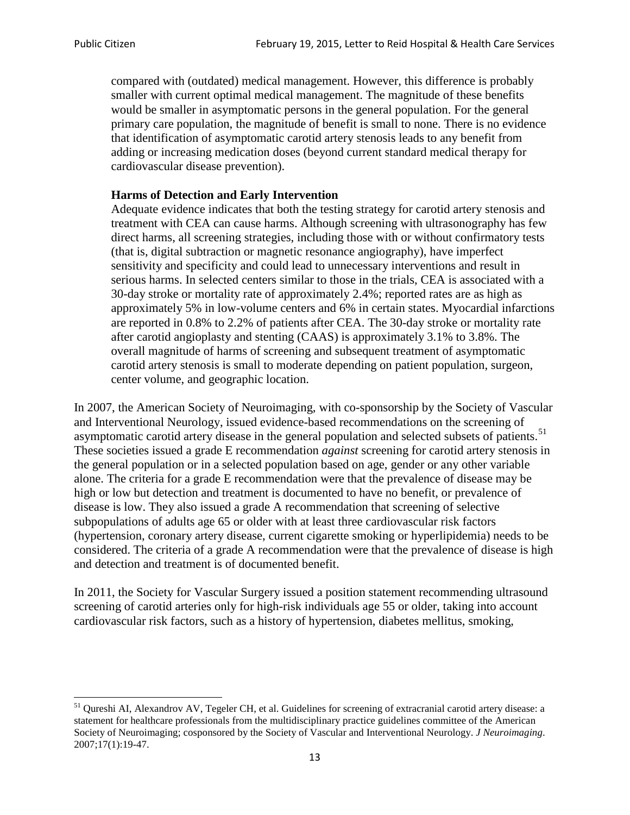compared with (outdated) medical management. However, this difference is probably smaller with current optimal medical management. The magnitude of these benefits would be smaller in asymptomatic persons in the general population. For the general primary care population, the magnitude of benefit is small to none. There is no evidence that identification of asymptomatic carotid artery stenosis leads to any benefit from adding or increasing medication doses (beyond current standard medical therapy for cardiovascular disease prevention).

### **Harms of Detection and Early Intervention**

Adequate evidence indicates that both the testing strategy for carotid artery stenosis and treatment with CEA can cause harms. Although screening with ultrasonography has few direct harms, all screening strategies, including those with or without confirmatory tests (that is, digital subtraction or magnetic resonance angiography), have imperfect sensitivity and specificity and could lead to unnecessary interventions and result in serious harms. In selected centers similar to those in the trials, CEA is associated with a 30-day stroke or mortality rate of approximately 2.4%; reported rates are as high as approximately 5% in low-volume centers and 6% in certain states. Myocardial infarctions are reported in 0.8% to 2.2% of patients after CEA. The 30-day stroke or mortality rate after carotid angioplasty and stenting (CAAS) is approximately 3.1% to 3.8%. The overall magnitude of harms of screening and subsequent treatment of asymptomatic carotid artery stenosis is small to moderate depending on patient population, surgeon, center volume, and geographic location.

In 2007, the American Society of Neuroimaging, with co-sponsorship by the Society of Vascular and Interventional Neurology, issued evidence-based recommendations on the screening of asymptomatic carotid artery disease in the general population and selected subsets of patients.<sup>[51](#page-12-0)</sup> These societies issued a grade E recommendation *against* screening for carotid artery stenosis in the general population or in a selected population based on age, gender or any other variable alone. The criteria for a grade E recommendation were that the prevalence of disease may be high or low but detection and treatment is documented to have no benefit, or prevalence of disease is low. They also issued a grade A recommendation that screening of selective subpopulations of adults age 65 or older with at least three cardiovascular risk factors (hypertension, coronary artery disease, current cigarette smoking or hyperlipidemia) needs to be considered. The criteria of a grade A recommendation were that the prevalence of disease is high and detection and treatment is of documented benefit.

In 2011, the Society for Vascular Surgery issued a position statement recommending ultrasound screening of carotid arteries only for high-risk individuals age 55 or older, taking into account cardiovascular risk factors, such as a history of hypertension, diabetes mellitus, smoking,

<span id="page-12-0"></span><sup>&</sup>lt;sup>51</sup> Oureshi AI, Alexandrov AV, Tegeler CH, et al. Guidelines for screening of extracranial carotid artery disease: a statement for healthcare professionals from the multidisciplinary practice guidelines committee of the American Society of Neuroimaging; cosponsored by the Society of Vascular and Interventional Neurology. *J Neuroimaging*. 2007;17(1):19-47.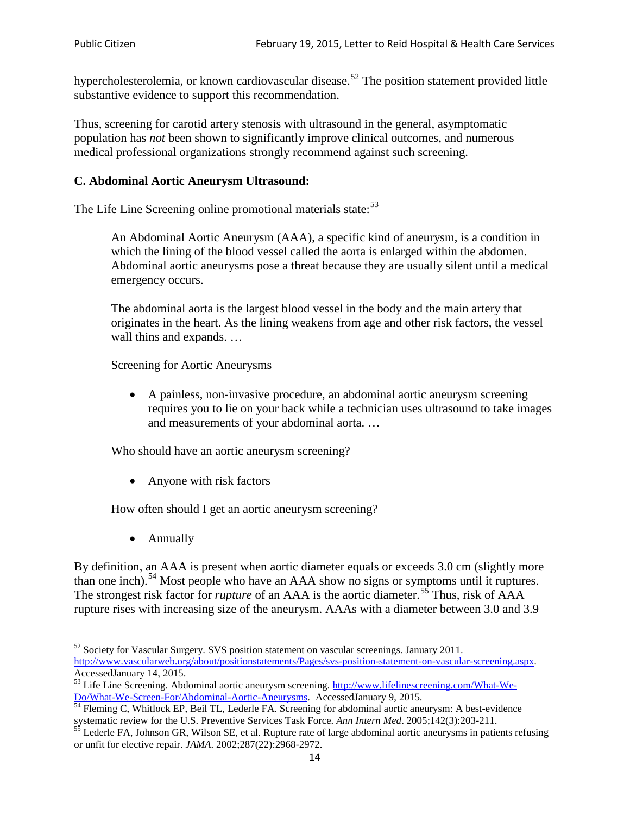hypercholesterolemia, or known cardiovascular disease.<sup>[52](#page-13-0)</sup> The position statement provided little substantive evidence to support this recommendation.

Thus, screening for carotid artery stenosis with ultrasound in the general, asymptomatic population has *not* been shown to significantly improve clinical outcomes, and numerous medical professional organizations strongly recommend against such screening.

### **C. Abdominal Aortic Aneurysm Ultrasound:**

The Life Line Screening online promotional materials state:<sup>[53](#page-13-1)</sup>

An Abdominal Aortic Aneurysm (AAA), a specific kind of aneurysm, is a condition in which the lining of the blood vessel called the aorta is enlarged within the abdomen. Abdominal aortic aneurysms pose a threat because they are usually silent until a medical emergency occurs.

The abdominal aorta is the largest blood vessel in the body and the main artery that originates in the heart. As the lining weakens from age and other risk factors, the vessel wall thins and expands. …

Screening for Aortic Aneurysms

• A painless, non-invasive procedure, an abdominal aortic aneurysm screening requires you to lie on your back while a technician uses ultrasound to take images and measurements of your abdominal aorta. …

Who should have an aortic aneurysm screening?

• Anyone with risk factors

How often should I get an aortic aneurysm screening?

• Annually

By definition, an AAA is present when aortic diameter equals or exceeds 3.0 cm (slightly more than one inch).<sup>[54](#page-13-2)</sup> Most people who have an AAA show no signs or symptoms until it ruptures. The strongest risk factor for *rupture* of an AAA is the aortic diameter.<sup>[55](#page-13-3)</sup> Thus, risk of AAA rupture rises with increasing size of the aneurysm. AAAs with a diameter between 3.0 and 3.9

<span id="page-13-0"></span><sup>&</sup>lt;sup>52</sup> Society for Vascular Surgery. SVS position statement on vascular screenings. January 2011. http://www.vascularweb.org/about/positionstatements/Pages/svs-position-statement-on-vascular-screening.aspx.<br>Accessed January 14, 2015.

<span id="page-13-1"></span>Accessed January 14, 2015.<br>
Sa Life Line Screening. Abdominal aortic aneurysm screening. http://www.lifelinescreening.com/What-We-<br>
Do/What-We-Screen-For/Abdominal-Aortic-Aneurysms. Accessed January 9, 2015.

<span id="page-13-2"></span> $\frac{54}{9}$  Fleming C, Whitlock EP, Beil TL, Lederle FA. Screening for abdominal aortic aneurysm: A best-evidence systematic review for the U.S. Preventive Services Task Force. *Ann Intern Med.* 2005;142(3):203-211.<br><sup>55</sup> Lederle FA, Johnson GR, Wilson SE, et al. Rupture rate of large abdominal aortic aneurysms in patients refusing

<span id="page-13-3"></span>or unfit for elective repair. *JAMA*. 2002;287(22):2968-2972.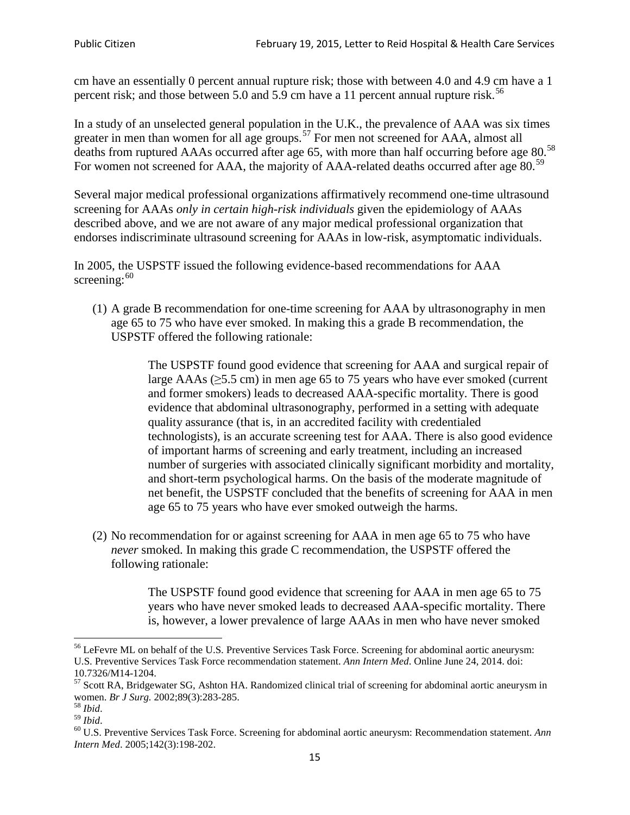cm have an essentially 0 percent annual rupture risk; those with between 4.0 and 4.9 cm have a 1 percent risk; and those between 5.0 and 5.9 cm have a 11 percent annual rupture risk.<sup>[56](#page-14-0)</sup>

In a study of an unselected general population in the U.K., the prevalence of AAA was six times greater in men than women for all age groups.<sup>[57](#page-14-1)</sup> For men not screened for  $AAA$ , almost all deaths from ruptured AAAs occurred after age 65, with more than half occurring before age 80.<sup>[58](#page-14-2)</sup> For women not screened for AAA, the majority of AAA-related deaths occurred after age 80.<sup>[59](#page-14-3)</sup>

Several major medical professional organizations affirmatively recommend one-time ultrasound screening for AAAs *only in certain high-risk individuals* given the epidemiology of AAAs described above, and we are not aware of any major medical professional organization that endorses indiscriminate ultrasound screening for AAAs in low-risk, asymptomatic individuals.

In 2005, the USPSTF issued the following evidence-based recommendations for AAA screening: $60$ 

(1) A grade B recommendation for one-time screening for AAA by ultrasonography in men age 65 to 75 who have ever smoked. In making this a grade [B recommendation,](http://www.uspreventiveservicestaskforce.org/uspstf/gradespre.htm#brec) the USPSTF offered the following rationale:

> The USPSTF found good evidence that screening for AAA and surgical repair of large AAAs ( $\geq$ 5.5 cm) in men age 65 to 75 years who have ever smoked (current and former smokers) leads to decreased AAA-specific mortality. There is good evidence that abdominal ultrasonography, performed in a setting with adequate quality assurance (that is, in an accredited facility with credentialed technologists), is an accurate screening test for AAA. There is also good evidence of important harms of screening and early treatment, including an increased number of surgeries with associated clinically significant morbidity and mortality, and short-term psychological harms. On the basis of the moderate magnitude of net benefit, the USPSTF concluded that the benefits of screening for AAA in men age 65 to 75 years who have ever smoked outweigh the harms.

(2) No recommendation for or against screening for AAA in men age 65 to 75 who have *never* smoked. In making this grade C recommendation, the USPSTF offered the following rationale:

> The USPSTF found good evidence that screening for AAA in men age 65 to 75 years who have never smoked leads to decreased AAA-specific mortality. There is, however, a lower prevalence of large AAAs in men who have never smoked

<span id="page-14-0"></span><sup>&</sup>lt;sup>56</sup> LeFevre ML on behalf of the U.S. Preventive Services Task Force. Screening for abdominal aortic aneurysm: U.S. Preventive Services Task Force recommendation statement. *Ann Intern Med*. Online June 24, 2014. doi:

<span id="page-14-1"></span><sup>10.7326/</sup>M14-1204.<br> $57$  Scott RA, Bridgewater SG, Ashton HA. Randomized clinical trial of screening for abdominal aortic aneurysm in women. *Br J Surg.* 2002;89(3):283-285.

<span id="page-14-4"></span><span id="page-14-3"></span>

<span id="page-14-2"></span><sup>&</sup>lt;sup>58</sup> *Ibid.*<br><sup>59</sup> *Ibid.* 2002;<br><sup>60</sup> U.S. Preventive Services Task Force. Screening for abdominal aortic aneurysm: Recommendation statement. *Ann Intern Med*. 2005;142(3):198-202.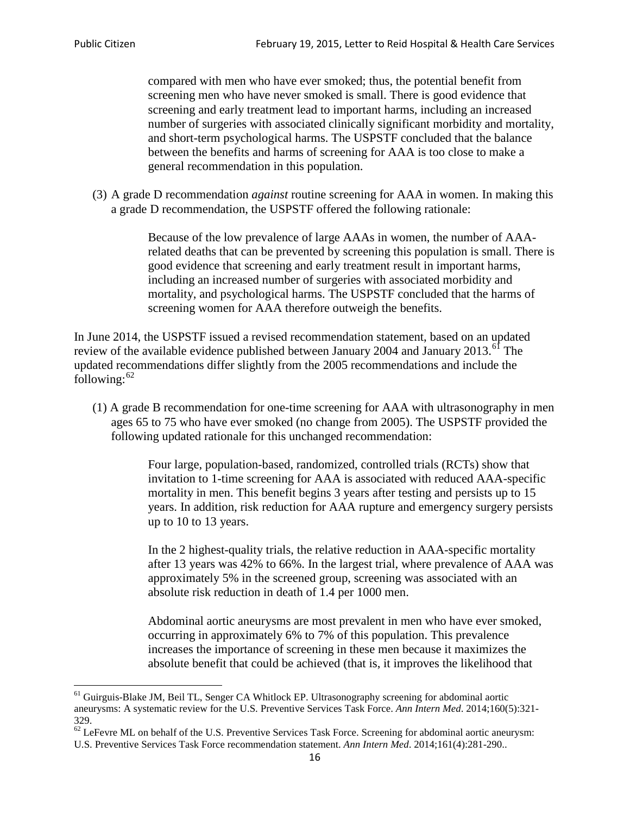compared with men who have ever smoked; thus, the potential benefit from screening men who have never smoked is small. There is good evidence that screening and early treatment lead to important harms, including an increased number of surgeries with associated clinically significant morbidity and mortality, and short-term psychological harms. The USPSTF concluded that the balance between the benefits and harms of screening for AAA is too close to make a general recommendation in this population.

(3) A grade D recommendation *against* routine screening for AAA in women. In making this a grade D recommendation, the USPSTF offered the following rationale:

> Because of the low prevalence of large AAAs in women, the number of AAArelated deaths that can be prevented by screening this population is small. There is good evidence that screening and early treatment result in important harms, including an increased number of surgeries with associated morbidity and mortality, and psychological harms. The USPSTF concluded that the harms of screening women for AAA therefore outweigh the benefits.

In June 2014, the USPSTF issued a revised recommendation statement, based on an updated review of the available evidence published between January 2004 and January 2013.<sup>[61](#page-15-0)</sup> The updated recommendations differ slightly from the 2005 recommendations and include the following: $62$ 

(1) A grade B recommendation for one-time screening for AAA with ultrasonography in men ages 65 to 75 who have ever smoked (no change from 2005). The USPSTF provided the following updated rationale for this unchanged recommendation:

> Four large, population-based, randomized, controlled trials (RCTs) show that invitation to 1-time screening for AAA is associated with reduced AAA-specific mortality in men. This benefit begins 3 years after testing and persists up to 15 years. In addition, risk reduction for AAA rupture and emergency surgery persists up to 10 to 13 years.

> In the 2 highest-quality trials, the relative reduction in AAA-specific mortality after 13 years was 42% to 66%. In the largest trial, where prevalence of AAA was approximately 5% in the screened group, screening was associated with an absolute risk reduction in death of 1.4 per 1000 men.

Abdominal aortic aneurysms are most prevalent in men who have ever smoked, occurring in approximately 6% to 7% of this population. This prevalence increases the importance of screening in these men because it maximizes the absolute benefit that could be achieved (that is, it improves the likelihood that

<span id="page-15-0"></span><sup>61</sup> Guirguis-Blake JM, Beil TL, Senger CA Whitlock EP. Ultrasonography screening for abdominal aortic aneurysms: A systematic review for the U.S. Preventive Services Task Force. *Ann Intern Med*. 2014;160(5):321- 329.

<span id="page-15-1"></span> $62$  LeFevre ML on behalf of the U.S. Preventive Services Task Force. Screening for abdominal aortic aneurysm: U.S. Preventive Services Task Force recommendation statement. *Ann Intern Med*. 2014;161(4):281-290..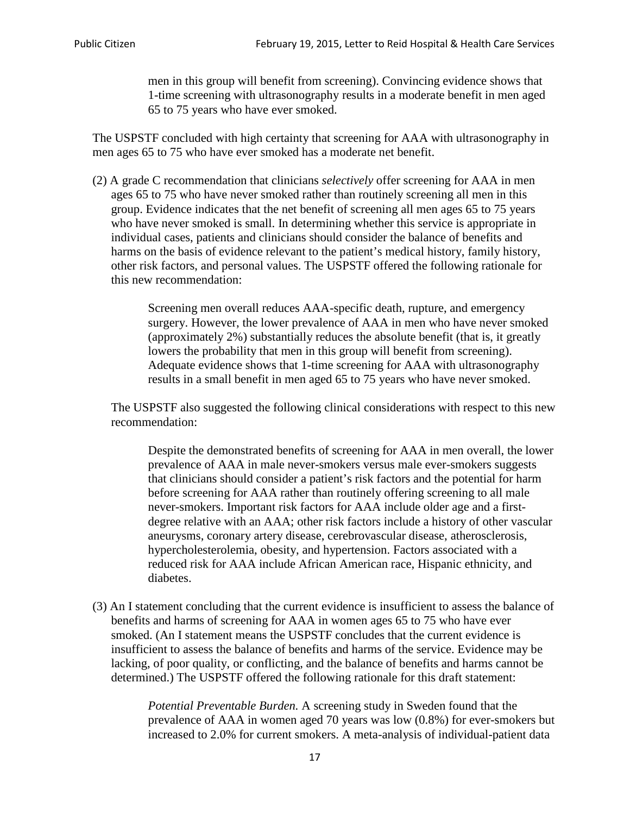men in this group will benefit from screening). Convincing evidence shows that 1-time screening with ultrasonography results in a moderate benefit in men aged 65 to 75 years who have ever smoked.

The USPSTF concluded with high certainty that screening for AAA with ultrasonography in men ages 65 to 75 who have ever smoked has a moderate net benefit.

(2) A grade C recommendation that clinicians *selectively* offer screening for AAA in men ages 65 to 75 who have never smoked rather than routinely screening all men in this group. Evidence indicates that the net benefit of screening all men ages 65 to 75 years who have never smoked is small. In determining whether this service is appropriate in individual cases, patients and clinicians should consider the balance of benefits and harms on the basis of evidence relevant to the patient's medical history, family history, other risk factors, and personal values. The USPSTF offered the following rationale for this new recommendation:

> Screening men overall reduces AAA-specific death, rupture, and emergency surgery. However, the lower prevalence of AAA in men who have never smoked (approximately 2%) substantially reduces the absolute benefit (that is, it greatly lowers the probability that men in this group will benefit from screening). Adequate evidence shows that 1-time screening for AAA with ultrasonography results in a small benefit in men aged 65 to 75 years who have never smoked.

The USPSTF also suggested the following clinical considerations with respect to this new recommendation:

Despite the demonstrated benefits of screening for AAA in men overall, the lower prevalence of AAA in male never-smokers versus male ever-smokers suggests that clinicians should consider a patient's risk factors and the potential for harm before screening for AAA rather than routinely offering screening to all male never-smokers. Important risk factors for AAA include older age and a firstdegree relative with an AAA; other risk factors include a history of other vascular aneurysms, coronary artery disease, cerebrovascular disease, atherosclerosis, hypercholesterolemia, obesity, and hypertension. Factors associated with a reduced risk for AAA include African American race, Hispanic ethnicity, and diabetes.

(3) An I statement concluding that the current evidence is insufficient to assess the balance of benefits and harms of screening for AAA in women ages 65 to 75 who have ever smoked. (An I statement means the USPSTF concludes that the current evidence is insufficient to assess the balance of benefits and harms of the service. Evidence may be lacking, of poor quality, or conflicting, and the balance of benefits and harms cannot be determined.) The USPSTF offered the following rationale for this draft statement:

> *Potential Preventable Burden.* A screening study in Sweden found that the prevalence of AAA in women aged 70 years was low (0.8%) for ever-smokers but increased to 2.0% for current smokers. A meta-analysis of individual-patient data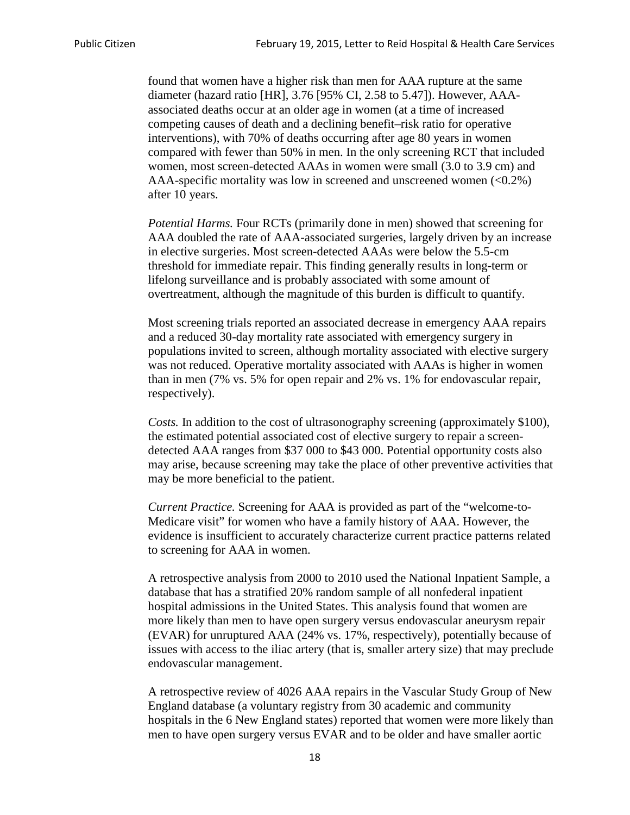found that women have a higher risk than men for AAA rupture at the same diameter (hazard ratio [HR], 3.76 [95% CI, 2.58 to 5.47]). However, AAAassociated deaths occur at an older age in women (at a time of increased competing causes of death and a declining benefit–risk ratio for operative interventions), with 70% of deaths occurring after age 80 years in women compared with fewer than 50% in men. In the only screening RCT that included women, most screen-detected AAAs in women were small (3.0 to 3.9 cm) and AAA-specific mortality was low in screened and unscreened women  $(<0.2\%)$ after 10 years.

*Potential Harms.* Four RCTs (primarily done in men) showed that screening for AAA doubled the rate of AAA-associated surgeries, largely driven by an increase in elective surgeries. Most screen-detected AAAs were below the 5.5-cm threshold for immediate repair. This finding generally results in long-term or lifelong surveillance and is probably associated with some amount of overtreatment, although the magnitude of this burden is difficult to quantify.

Most screening trials reported an associated decrease in emergency AAA repairs and a reduced 30-day mortality rate associated with emergency surgery in populations invited to screen, although mortality associated with elective surgery was not reduced. Operative mortality associated with AAAs is higher in women than in men (7% vs. 5% for open repair and 2% vs. 1% for endovascular repair, respectively).

*Costs.* In addition to the cost of ultrasonography screening (approximately \$100), the estimated potential associated cost of elective surgery to repair a screendetected AAA ranges from \$37 000 to \$43 000. Potential opportunity costs also may arise, because screening may take the place of other preventive activities that may be more beneficial to the patient.

*Current Practice.* Screening for AAA is provided as part of the "welcome-to-Medicare visit" for women who have a family history of AAA. However, the evidence is insufficient to accurately characterize current practice patterns related to screening for AAA in women.

A retrospective analysis from 2000 to 2010 used the National Inpatient Sample, a database that has a stratified 20% random sample of all nonfederal inpatient hospital admissions in the United States. This analysis found that women are more likely than men to have open surgery versus endovascular aneurysm repair (EVAR) for unruptured AAA (24% vs. 17%, respectively), potentially because of issues with access to the iliac artery (that is, smaller artery size) that may preclude endovascular management.

A retrospective review of 4026 AAA repairs in the Vascular Study Group of New England database (a voluntary registry from 30 academic and community hospitals in the 6 New England states) reported that women were more likely than men to have open surgery versus EVAR and to be older and have smaller aortic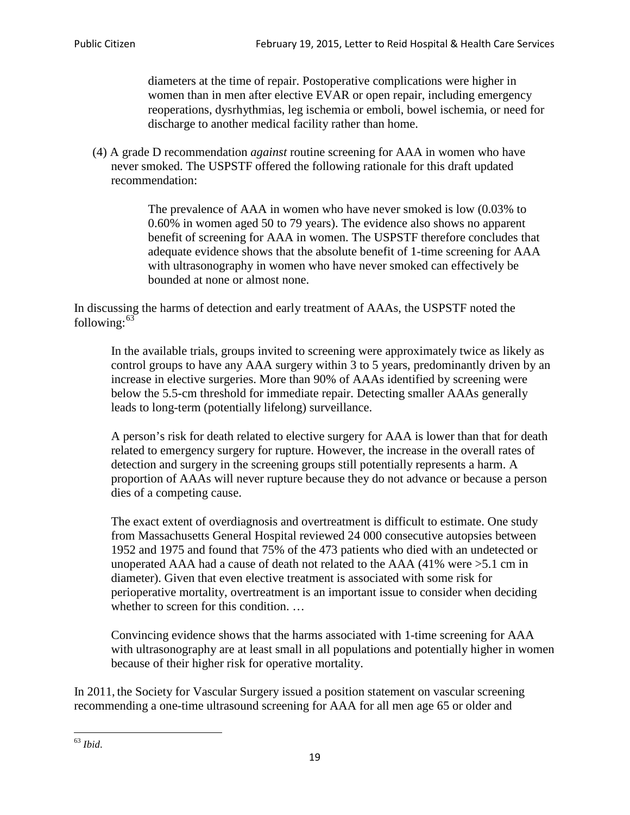diameters at the time of repair. Postoperative complications were higher in women than in men after elective EVAR or open repair, including emergency reoperations, dysrhythmias, leg ischemia or emboli, bowel ischemia, or need for discharge to another medical facility rather than home.

(4) A grade D recommendation *against* routine screening for AAA in women who have never smoked. The USPSTF offered the following rationale for this draft updated recommendation:

> The prevalence of AAA in women who have never smoked is low (0.03% to 0.60% in women aged 50 to 79 years). The evidence also shows no apparent benefit of screening for AAA in women. The USPSTF therefore concludes that adequate evidence shows that the absolute benefit of 1-time screening for AAA with ultrasonography in women who have never smoked can effectively be bounded at none or almost none.

In discussing the harms of detection and early treatment of AAAs, the USPSTF noted the following: $63$ 

In the available trials, groups invited to screening were approximately twice as likely as control groups to have any AAA surgery within 3 to 5 years, predominantly driven by an increase in elective surgeries. More than 90% of AAAs identified by screening were below the 5.5-cm threshold for immediate repair. Detecting smaller AAAs generally leads to long-term (potentially lifelong) surveillance.

A person's risk for death related to elective surgery for AAA is lower than that for death related to emergency surgery for rupture. However, the increase in the overall rates of detection and surgery in the screening groups still potentially represents a harm. A proportion of AAAs will never rupture because they do not advance or because a person dies of a competing cause.

The exact extent of overdiagnosis and overtreatment is difficult to estimate. One study from Massachusetts General Hospital reviewed 24 000 consecutive autopsies between 1952 and 1975 and found that 75% of the 473 patients who died with an undetected or unoperated AAA had a cause of death not related to the AAA (41% were >5.1 cm in diameter). Given that even elective treatment is associated with some risk for perioperative mortality, overtreatment is an important issue to consider when deciding whether to screen for this condition....

Convincing evidence shows that the harms associated with 1-time screening for AAA with ultrasonography are at least small in all populations and potentially higher in women because of their higher risk for operative mortality.

In 2011, the Society for Vascular Surgery issued a position statement on vascular screening recommending a one-time ultrasound screening for AAA for all men age 65 or older and

<span id="page-18-0"></span><sup>63</sup> *Ibid*.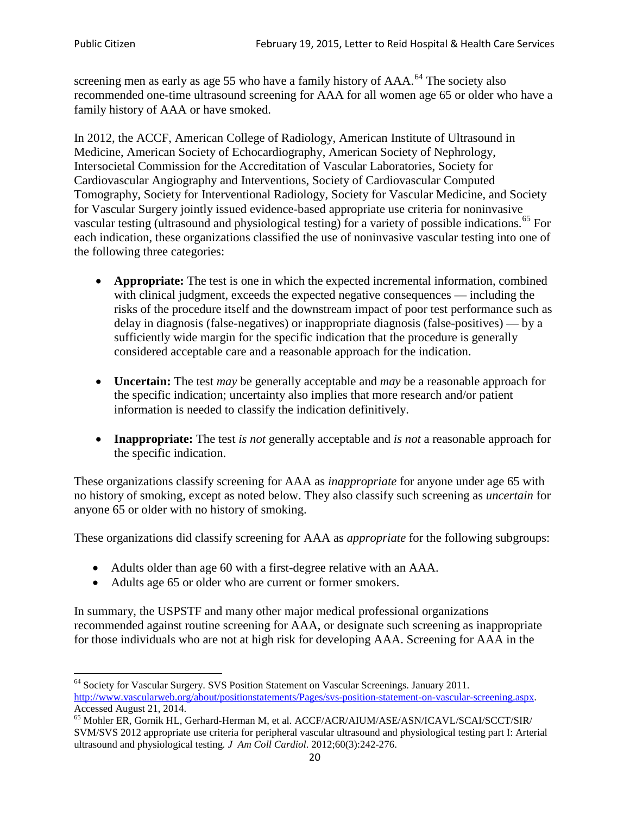screening men as early as age 55 who have a family history of AAA.<sup>[64](#page-19-0)</sup> The society also recommended one-time ultrasound screening for AAA for all women age 65 or older who have a family history of AAA or have smoked.

In 2012, the ACCF, American College of Radiology, American Institute of Ultrasound in Medicine, American Society of Echocardiography, American Society of Nephrology, Intersocietal Commission for the Accreditation of Vascular Laboratories, Society for Cardiovascular Angiography and Interventions, Society of Cardiovascular Computed Tomography, Society for Interventional Radiology, Society for Vascular Medicine, and Society for Vascular Surgery jointly issued evidence-based appropriate use criteria for noninvasive vascular testing (ultrasound and physiological testing) for a variety of possible indications.<sup>[65](#page-19-1)</sup> For each indication, these organizations classified the use of noninvasive vascular testing into one of the following three categories:

- **Appropriate:** The test is one in which the expected incremental information, combined with clinical judgment, exceeds the expected negative consequences — including the risks of the procedure itself and the downstream impact of poor test performance such as delay in diagnosis (false-negatives) or inappropriate diagnosis (false-positives) — by a sufficiently wide margin for the specific indication that the procedure is generally considered acceptable care and a reasonable approach for the indication.
- **Uncertain:** The test *may* be generally acceptable and *may* be a reasonable approach for the specific indication; uncertainty also implies that more research and/or patient information is needed to classify the indication definitively.
- **Inappropriate:** The test *is not* generally acceptable and *is not* a reasonable approach for the specific indication.

These organizations classify screening for AAA as *inappropriate* for anyone under age 65 with no history of smoking, except as noted below. They also classify such screening as *uncertain* for anyone 65 or older with no history of smoking.

These organizations did classify screening for AAA as *appropriate* for the following subgroups:

- Adults older than age 60 with a first-degree relative with an AAA.
- Adults age 65 or older who are current or former smokers.

In summary, the USPSTF and many other major medical professional organizations recommended against routine screening for AAA, or designate such screening as inappropriate for those individuals who are not at high risk for developing AAA. Screening for AAA in the

<span id="page-19-0"></span><sup>64</sup> Society for Vascular Surgery. SVS Position Statement on Vascular Screenings. January 2011. [http://www.vascularweb.org/about/positionstatements/Pages/svs-position-statement-on-vascular-screening.aspx.](http://www.vascularweb.org/about/positionstatements/Pages/svs-position-statement-on-vascular-screening.aspx) 

<span id="page-19-1"></span>Accessed August 21, 2014.<br><sup>65</sup> Mohler ER, Gornik HL, Gerhard-Herman M, et al. ACCF/ACR/AIUM/ASE/ASN/ICAVL/SCAI/SCCT/SIR/ SVM/SVS 2012 appropriate use criteria for peripheral vascular ultrasound and physiological testing part I: Arterial ultrasound and physiological testing*. J Am Coll Cardiol*. 2012;60(3):242-276.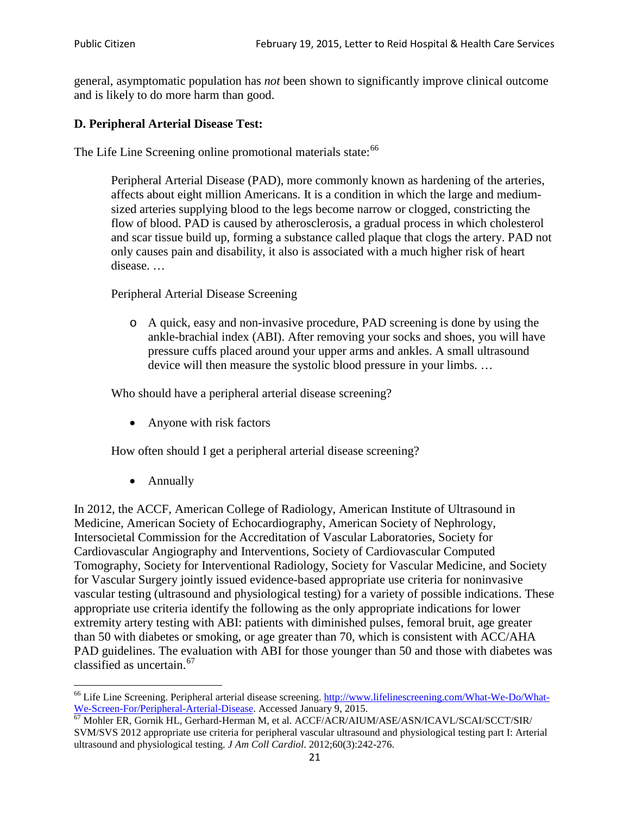general, asymptomatic population has *not* been shown to significantly improve clinical outcome and is likely to do more harm than good.

## **D. Peripheral Arterial Disease Test:**

The Life Line Screening online promotional materials state:<sup>[66](#page-20-0)</sup>

Peripheral Arterial Disease (PAD), more commonly known as hardening of the arteries, affects about eight million Americans. It is a condition in which the large and mediumsized arteries supplying blood to the legs become narrow or clogged, constricting the flow of blood. PAD is caused by atherosclerosis, a gradual process in which cholesterol and scar tissue build up, forming a substance called plaque that clogs the artery. PAD not only causes pain and disability, it also is associated with a much higher risk of heart disease. …

Peripheral Arterial Disease Screening

o A quick, easy and non-invasive procedure, PAD screening is done by using the ankle-brachial index (ABI). After removing your socks and shoes, you will have pressure cuffs placed around your upper arms and ankles. A small ultrasound device will then measure the systolic blood pressure in your limbs. …

Who should have a peripheral arterial disease screening?

• Anyone with risk factors

How often should I get a peripheral arterial disease screening?

• Annually

In 2012, the ACCF, American College of Radiology, American Institute of Ultrasound in Medicine, American Society of Echocardiography, American Society of Nephrology, Intersocietal Commission for the Accreditation of Vascular Laboratories, Society for Cardiovascular Angiography and Interventions, Society of Cardiovascular Computed Tomography, Society for Interventional Radiology, Society for Vascular Medicine, and Society for Vascular Surgery jointly issued evidence-based appropriate use criteria for noninvasive vascular testing (ultrasound and physiological testing) for a variety of possible indications. These appropriate use criteria identify the following as the only appropriate indications for lower extremity artery testing with ABI: patients with diminished pulses, femoral bruit, age greater than 50 with diabetes or smoking, or age greater than 70, which is consistent with ACC/AHA PAD guidelines. The evaluation with ABI for those younger than 50 and those with diabetes was classified as uncertain.<sup>[67](#page-20-1)</sup>

<span id="page-20-0"></span><sup>&</sup>lt;sup>66</sup> Life Line Screening. Peripheral arterial disease screening. [http://www.lifelinescreening.com/What-We-Do/What-](http://www.lifelinescreening.com/What-We-Do/What-We-Screen-For/Peripheral-Arterial-Disease)[We-Screen-For/Peripheral-Arterial-Disease.](http://www.lifelinescreening.com/What-We-Do/What-We-Screen-For/Peripheral-Arterial-Disease) Accessed January 9, 2015.<br><sup>67</sup> Mohler ER, Gornik HL, Gerhard-Herman M, et al. ACCF/ACR/AIUM/ASE/ASN/ICAVL/SCAI/SCCT/SIR/

<span id="page-20-1"></span>SVM/SVS 2012 appropriate use criteria for peripheral vascular ultrasound and physiological testing part I: Arterial ultrasound and physiological testing. *J Am Coll Cardiol*. 2012;60(3):242-276.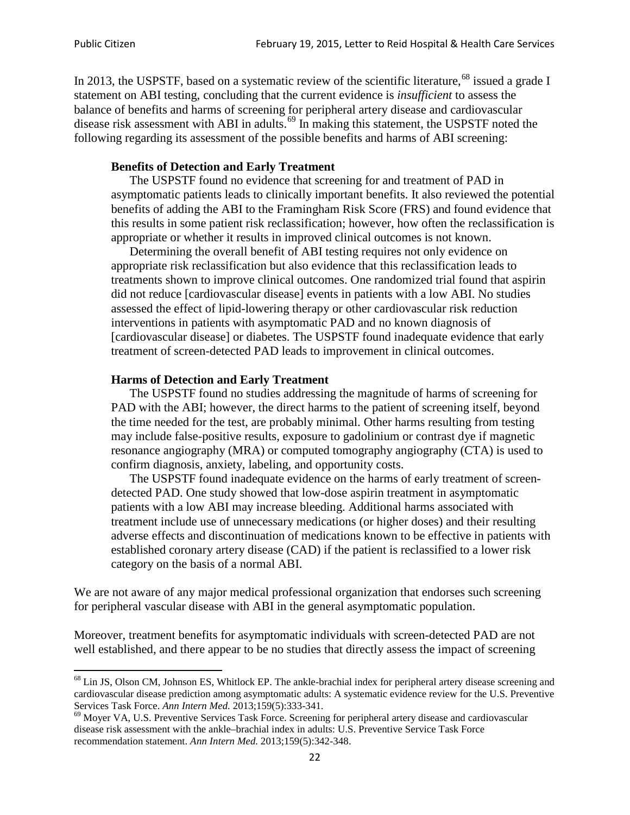In 2013, the USPSTF, based on a systematic review of the scientific literature,<sup>[68](#page-21-0)</sup> issued a grade I statement on ABI testing, concluding that the current evidence is *insufficient* to assess the balance of benefits and harms of screening for peripheral artery disease and cardiovascular disease risk assessment with ABI in adults.<sup>[69](#page-21-1)</sup> In making this statement, the USPSTF noted the following regarding its assessment of the possible benefits and harms of ABI screening:

#### **Benefits of Detection and Early Treatment**

The USPSTF found no evidence that screening for and treatment of PAD in asymptomatic patients leads to clinically important benefits. It also reviewed the potential benefits of adding the ABI to the Framingham Risk Score (FRS) and found evidence that this results in some patient risk reclassification; however, how often the reclassification is appropriate or whether it results in improved clinical outcomes is not known.

Determining the overall benefit of ABI testing requires not only evidence on appropriate risk reclassification but also evidence that this reclassification leads to treatments shown to improve clinical outcomes. One randomized trial found that aspirin did not reduce [cardiovascular disease] events in patients with a low ABI. No studies assessed the effect of lipid-lowering therapy or other cardiovascular risk reduction interventions in patients with asymptomatic PAD and no known diagnosis of [cardiovascular disease] or diabetes. The USPSTF found inadequate evidence that early treatment of screen-detected PAD leads to improvement in clinical outcomes.

#### **Harms of Detection and Early Treatment**

The USPSTF found no studies addressing the magnitude of harms of screening for PAD with the ABI; however, the direct harms to the patient of screening itself, beyond the time needed for the test, are probably minimal. Other harms resulting from testing may include false-positive results, exposure to gadolinium or contrast dye if magnetic resonance angiography (MRA) or computed tomography angiography (CTA) is used to confirm diagnosis, anxiety, labeling, and opportunity costs.

The USPSTF found inadequate evidence on the harms of early treatment of screendetected PAD. One study showed that low-dose aspirin treatment in asymptomatic patients with a low ABI may increase bleeding. Additional harms associated with treatment include use of unnecessary medications (or higher doses) and their resulting adverse effects and discontinuation of medications known to be effective in patients with established coronary artery disease (CAD) if the patient is reclassified to a lower risk category on the basis of a normal ABI.

We are not aware of any major medical professional organization that endorses such screening for peripheral vascular disease with ABI in the general asymptomatic population.

Moreover, treatment benefits for asymptomatic individuals with screen-detected PAD are not well established, and there appear to be no studies that directly assess the impact of screening

<span id="page-21-0"></span><sup>&</sup>lt;sup>68</sup> Lin JS, Olson CM, Johnson ES, Whitlock EP. The ankle-brachial index for peripheral artery disease screening and cardiovascular disease prediction among asymptomatic adults: A systematic evidence review for the U.S. Preventive Services Task Force. *Ann Intern Med.* 2013;159(5):333-341.<br><sup>69</sup> Moyer VA, U.S. Preventive Services Task Force. Screening for peripheral artery disease and cardiovascular

<span id="page-21-1"></span>disease risk assessment with the ankle–brachial index in adults: U.S. Preventive Service Task Force recommendation statement. *Ann Intern Med.* 2013;159(5):342-348.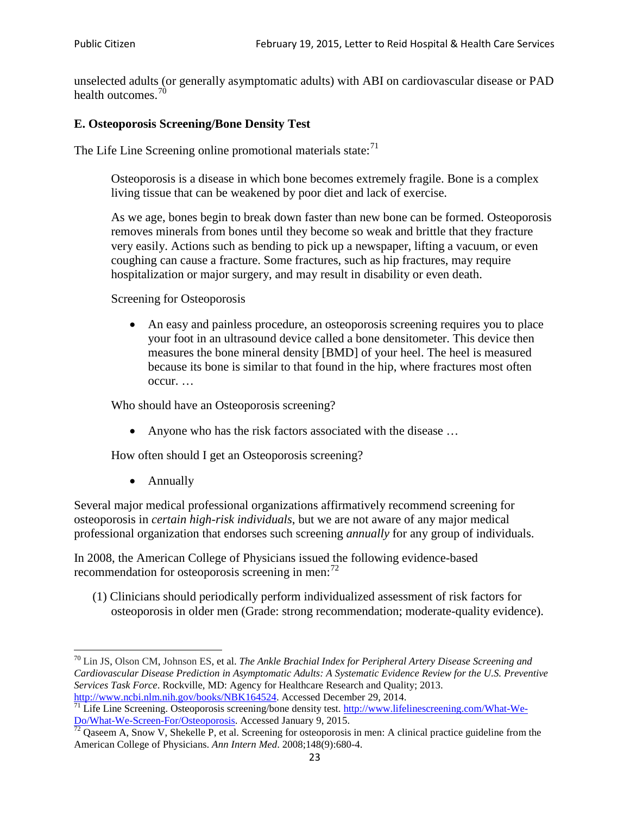unselected adults (or generally asymptomatic adults) with ABI on cardiovascular disease or PAD health outcomes.<sup>[70](#page-22-0)</sup>

## **E. Osteoporosis Screening/Bone Density Test**

The Life Line Screening online promotional materials state: $<sup>71</sup>$  $<sup>71</sup>$  $<sup>71</sup>$ </sup>

Osteoporosis is a disease in which bone becomes extremely fragile. Bone is a complex living tissue that can be weakened by poor diet and lack of exercise.

As we age, bones begin to break down faster than new bone can be formed. Osteoporosis removes minerals from bones until they become so weak and brittle that they fracture very easily. Actions such as bending to pick up a newspaper, lifting a vacuum, or even coughing can cause a fracture. Some fractures, such as hip fractures, may require hospitalization or major surgery, and may result in disability or even death.

Screening for Osteoporosis

• An easy and painless procedure, an osteoporosis screening requires you to place your foot in an ultrasound device called a bone densitometer. This device then measures the bone mineral density [BMD] of your heel. The heel is measured because its bone is similar to that found in the hip, where fractures most often occur. …

Who should have an Osteoporosis screening?

• Anyone who has the risk factors associated with the disease ...

How often should I get an Osteoporosis screening?

• Annually

Several major medical professional organizations affirmatively recommend screening for osteoporosis in *certain high-risk individuals*, but we are not aware of any major medical professional organization that endorses such screening *annually* for any group of individuals.

In 2008, the American College of Physicians issued the following evidence-based recommendation for osteoporosis screening in men: $^{72}$  $^{72}$  $^{72}$ 

(1) Clinicians should periodically perform individualized assessment of risk factors for osteoporosis in older men (Grade: strong recommendation; moderate-quality evidence).

<span id="page-22-0"></span><sup>70</sup> [Lin JS,](http://www.ncbi.nlm.nih.gov/pubmed?term=Lin%20JS%5BAuthor%5D&cauthor=true&cauthor_uid=24156115) [Olson CM,](http://www.ncbi.nlm.nih.gov/pubmed?term=Olson%20CM%5BAuthor%5D&cauthor=true&cauthor_uid=24156115) [Johnson ES,](http://www.ncbi.nlm.nih.gov/pubmed?term=Johnson%20ES%5BAuthor%5D&cauthor=true&cauthor_uid=24156115) et al. *The Ankle Brachial Index for Peripheral Artery Disease Screening and Cardiovascular Disease Prediction in Asymptomatic Adults: A Systematic Evidence Review for the U.S. Preventive Services Task Force*. Rockville, MD: Agency for Healthcare Research and Quality; 2013.<br>http://www.ncbi.nlm.nih.gov/books/NBK164524. Accessed December 29, 2014.

<span id="page-22-1"></span> $\frac{1}{71}$  Life Line Screening. Osteoporosis screening/bone density test. [http://www.lifelinescreening.com/What-We-](http://www.lifelinescreening.com/What-We-Do/What-We-Screen-For/Osteoporosis)[Do/What-We-Screen-For/Osteoporosis.](http://www.lifelinescreening.com/What-We-Do/What-We-Screen-For/Osteoporosis) Accessed January 9, 2015. <sup>72</sup> Qaseem A, Snow V, Shekelle P, et al. Screening for osteoporosis in men: A clinical practice guideline from the

<span id="page-22-2"></span>American College of Physicians. *Ann Intern Med*. 2008;148(9):680-4.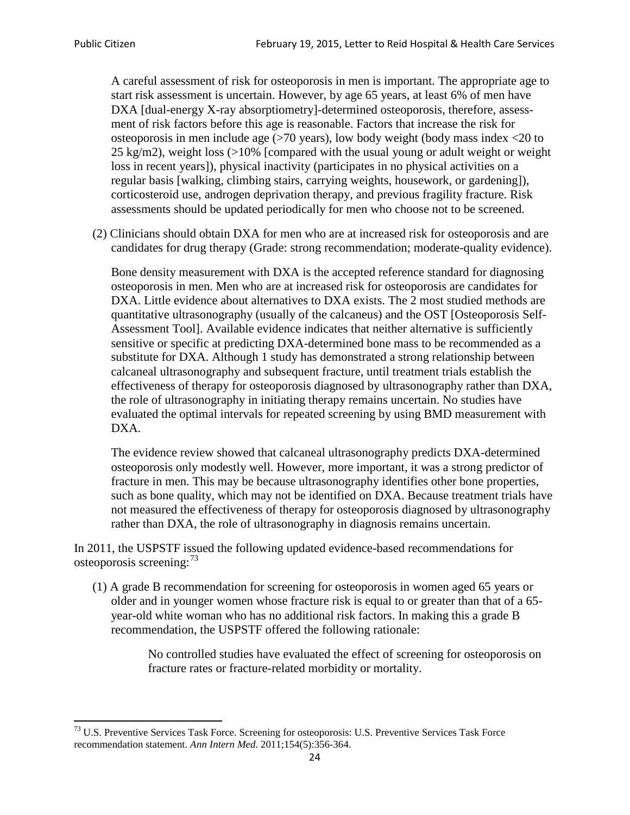A careful assessment of risk for osteoporosis in men is important. The appropriate age to start risk assessment is uncertain. However, by age 65 years, at least 6% of men have DXA [dual-energy X-ray absorptiometry]-determined osteoporosis, therefore, assessment of risk factors before this age is reasonable. Factors that increase the risk for osteoporosis in men include age (>70 years), low body weight (body mass index <20 to 25 kg/m2), weight loss  $\langle$  >10% [compared with the usual young or adult weight or weight loss in recent years]), physical inactivity (participates in no physical activities on a regular basis [walking, climbing stairs, carrying weights, housework, or gardening]), corticosteroid use, androgen deprivation therapy, and previous fragility fracture. Risk assessments should be updated periodically for men who choose not to be screened.

(2) Clinicians should obtain DXA for men who are at increased risk for osteoporosis and are candidates for drug therapy (Grade: strong recommendation; moderate-quality evidence).

Bone density measurement with DXA is the accepted reference standard for diagnosing osteoporosis in men. Men who are at increased risk for osteoporosis are candidates for DXA. Little evidence about alternatives to DXA exists. The 2 most studied methods are quantitative ultrasonography (usually of the calcaneus) and the OST [Osteoporosis Self-Assessment Tool]. Available evidence indicates that neither alternative is sufficiently sensitive or specific at predicting DXA-determined bone mass to be recommended as a substitute for DXA. Although 1 study has demonstrated a strong relationship between calcaneal ultrasonography and subsequent fracture, until treatment trials establish the effectiveness of therapy for osteoporosis diagnosed by ultrasonography rather than DXA, the role of ultrasonography in initiating therapy remains uncertain. No studies have evaluated the optimal intervals for repeated screening by using BMD measurement with DXA.

The evidence review showed that calcaneal ultrasonography predicts DXA-determined osteoporosis only modestly well. However, more important, it was a strong predictor of fracture in men. This may be because ultrasonography identifies other bone properties, such as bone quality, which may not be identified on DXA. Because treatment trials have not measured the effectiveness of therapy for osteoporosis diagnosed by ultrasonography rather than DXA, the role of ultrasonography in diagnosis remains uncertain.

In 2011, the USPSTF issued the following updated evidence-based recommendations for osteoporosis screening:<sup>[73](#page-23-0)</sup>

(1) A grade B recommendation for screening for osteoporosis in women aged 65 years or older and in younger women whose fracture risk is equal to or greater than that of a 65 year-old white woman who has no additional risk factors. In making this a grade B recommendation, the USPSTF offered the following rationale:

> No controlled studies have evaluated the effect of screening for osteoporosis on fracture rates or fracture-related morbidity or mortality.

<span id="page-23-0"></span><sup>&</sup>lt;sup>73</sup> U.S. Preventive Services Task Force. Screening for osteoporosis: U.S. Preventive Services Task Force recommendation statement. *Ann Intern Med*. 2011;154(5):356-364.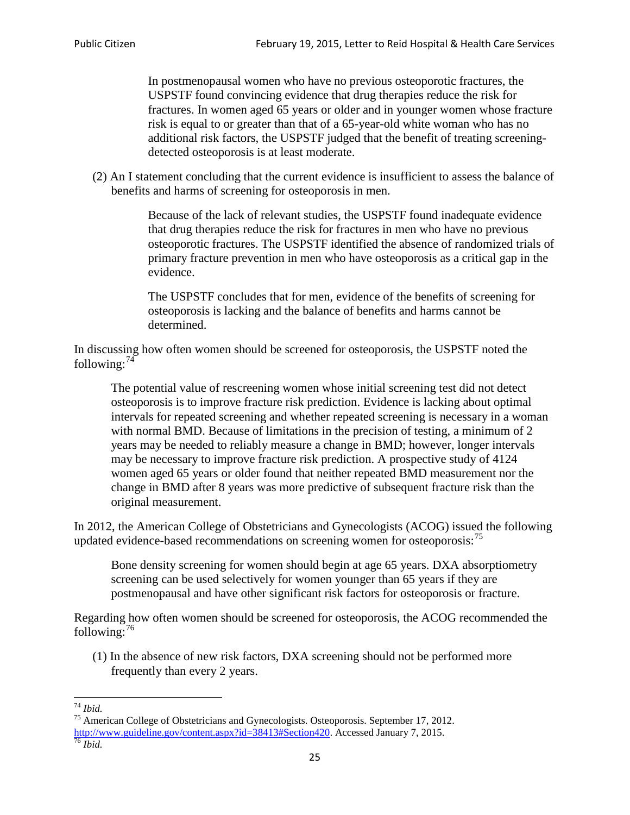In postmenopausal women who have no previous osteoporotic fractures, the USPSTF found convincing evidence that drug therapies reduce the risk for fractures. In women aged 65 years or older and in younger women whose fracture risk is equal to or greater than that of a 65-year-old white woman who has no additional risk factors, the USPSTF judged that the benefit of treating screeningdetected osteoporosis is at least moderate.

(2) An I statement concluding that the current evidence is insufficient to assess the balance of benefits and harms of screening for osteoporosis in men.

> Because of the lack of relevant studies, the USPSTF found inadequate evidence that drug therapies reduce the risk for fractures in men who have no previous osteoporotic fractures. The USPSTF identified the absence of randomized trials of primary fracture prevention in men who have osteoporosis as a critical gap in the evidence.

The USPSTF concludes that for men, evidence of the benefits of screening for osteoporosis is lacking and the balance of benefits and harms cannot be determined.

In discussing how often women should be screened for osteoporosis, the USPSTF noted the following: $74$ 

The potential value of rescreening women whose initial screening test did not detect osteoporosis is to improve fracture risk prediction. Evidence is lacking about optimal intervals for repeated screening and whether repeated screening is necessary in a woman with normal BMD. Because of limitations in the precision of testing, a minimum of 2 years may be needed to reliably measure a change in BMD; however, longer intervals may be necessary to improve fracture risk prediction. A prospective study of 4124 women aged 65 years or older found that neither repeated BMD measurement nor the change in BMD after 8 years was more predictive of subsequent fracture risk than the original measurement.

In 2012, the American College of Obstetricians and Gynecologists (ACOG) issued the following updated evidence-based recommendations on screening women for osteoporosis:<sup>[75](#page-24-1)</sup>

Bone density screening for women should begin at age 65 years. DXA absorptiometry screening can be used selectively for women younger than 65 years if they are postmenopausal and have other significant risk factors for osteoporosis or fracture.

Regarding how often women should be screened for osteoporosis, the ACOG recommended the following: $^{76}$  $^{76}$  $^{76}$ 

(1) In the absence of new risk factors, DXA screening should not be performed more frequently than every 2 years.

<span id="page-24-2"></span><span id="page-24-1"></span><span id="page-24-0"></span><sup>74</sup> *Ibid.* <sup>75</sup> American College of Obstetricians and Gynecologists. Osteoporosis. September 17, 2012. [http://www.guideline.gov/content.aspx?id=38413#Section420.](http://www.guideline.gov/content.aspx?id=38413#Section420) Accessed January 7, 2015.<br><sup>76</sup> *Ibid.*